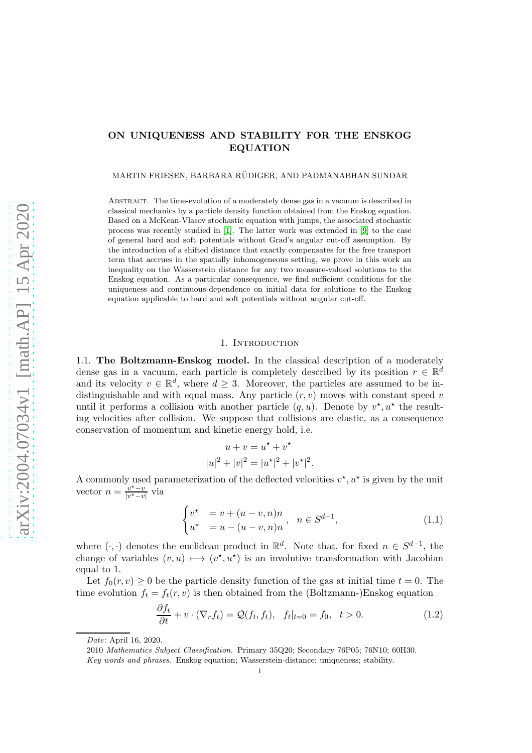# ON UNIQUENESS AND STABILITY FOR THE ENSKOG EQUATION

MARTIN FRIESEN, BARBARA RÜDIGER, AND PADMANABHAN SUNDAR

Abstract. The time-evolution of a moderately dense gas in a vacuum is described in classical mechanics by a particle density function obtained from the Enskog equation. Based on a McKean-Vlasov stochastic equation with jumps, the associated stochastic process was recently studied in [\[1\]](#page-19-0). The latter work was extended in [\[9\]](#page-19-1) to the case of general hard and soft potentials without Grad's angular cut-off assumption. By the introduction of a shifted distance that exactly compensates for the free transport term that accrues in the spatially inhomogeneous setting, we prove in this work an inequality on the Wasserstein distance for any two measure-valued solutions to the Enskog equation. As a particular consequence, we find sufficient conditions for the uniqueness and continuous-dependence on initial data for solutions to the Enskog equation applicable to hard and soft potentials without angular cut-off.

#### 1. INTRODUCTION

1.1. The Boltzmann-Enskog model. In the classical description of a moderately dense gas in a vacuum, each particle is completely described by its position  $r \in \mathbb{R}^d$ and its velocity  $v \in \mathbb{R}^d$ , where  $d \geq 3$ . Moreover, the particles are assumed to be indistinguishable and with equal mass. Any particle  $(r, v)$  moves with constant speed v until it performs a collision with another particle  $(q, u)$ . Denote by  $v^*$ ,  $u^*$  the resulting velocities after collision. We suppose that collisions are elastic, as a consequence conservation of momentum and kinetic energy hold, i.e.

<span id="page-0-1"></span>
$$
u + v = u^* + v^*
$$
  

$$
|u|^2 + |v|^2 = |u^*|^2 + |v^*|^2.
$$

A commonly used parameterization of the deflected velocities  $v^*$ ,  $u^*$  is given by the unit vector  $n = \frac{v^* - v}{v^* - v}$  $\frac{v^{\wedge}-v}{|v^{\star}-v|}$  via

<span id="page-0-0"></span>
$$
\begin{cases} v^* & = v + (u - v, n)n \\ u^* & = u - (u - v, n)n \end{cases}, \quad n \in S^{d-1}, \tag{1.1}
$$

where  $(\cdot, \cdot)$  denotes the euclidean product in  $\mathbb{R}^d$ . Note that, for fixed  $n \in S^{d-1}$ , the change of variables  $(v, u) \mapsto (v^*, u^*)$  is an involutive transformation with Jacobian equal to 1.

Let  $f_0(r, v) \geq 0$  be the particle density function of the gas at initial time  $t = 0$ . The time evolution  $f_t = f_t(r, v)$  is then obtained from the (Boltzmann-)Enskog equation

$$
\frac{\partial f_t}{\partial t} + v \cdot (\nabla_r f_t) = \mathcal{Q}(f_t, f_t), \quad f_t|_{t=0} = f_0, \quad t > 0.
$$
 (1.2)

*Date*: April 16, 2020.

<sup>2010</sup> *Mathematics Subject Classification.* Primary 35Q20; Secondary 76P05; 76N10; 60H30.

*Key words and phrases.* Enskog equation; Wasserstein-distance; uniqueness; stability.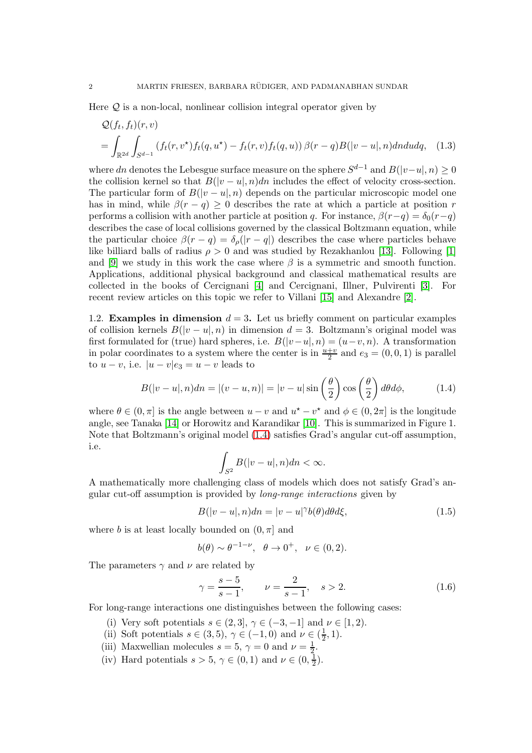Here  $Q$  is a non-local, nonlinear collision integral operator given by

$$
\mathcal{Q}(f_t, f_t)(r, v)
$$
\n
$$
= \int_{\mathbb{R}^{2d}} \int_{S^{d-1}} (f_t(r, v^*) f_t(q, u^*) - f_t(r, v) f_t(q, u)) \beta(r - q) B(|v - u|, n) d\eta d\eta, \quad (1.3)
$$

where dn denotes the Lebesgue surface measure on the sphere  $S^{d-1}$  and  $B(|v-u|, n) \geq 0$ the collision kernel so that  $B(|v - u|, n)dn$  includes the effect of velocity cross-section. The particular form of  $B(|v-u|, n)$  depends on the particular microscopic model one has in mind, while  $\beta(r - q) \geq 0$  describes the rate at which a particle at position r performs a collision with another particle at position q. For instance,  $\beta(r-q) = \delta_0(r-q)$ describes the case of local collisions governed by the classical Boltzmann equation, while the particular choice  $\beta(r-q) = \delta_o(|r-q|)$  describes the case where particles behave like billiard balls of radius  $\rho > 0$  and was studied by Rezakhanlou [\[13\]](#page-19-2). Following [\[1\]](#page-19-0) and [\[9\]](#page-19-1) we study in this work the case where  $\beta$  is a symmetric and smooth function. Applications, additional physical background and classical mathematical results are collected in the books of Cercignani [\[4\]](#page-19-3) and Cercignani, Illner, Pulvirenti [\[3\]](#page-19-4). For recent review articles on this topic we refer to Villani [\[15\]](#page-19-5) and Alexandre [\[2\]](#page-19-6).

1.2. Examples in dimension  $d = 3$ . Let us briefly comment on particular examples of collision kernels  $B(|v - u|, n)$  in dimension  $d = 3$ . Boltzmann's original model was first formulated for (true) hard spheres, i.e.  $B(|v-u|, n) = (u-v, n)$ . A transformation in polar coordinates to a system where the center is in  $\frac{u+v}{2}$  and  $e_3 = (0,0,1)$  is parallel to  $u - v$ , i.e.  $|u - v|e_3 = u - v$  leads to

$$
B(|v-u|,n)dn = |(v-u,n)| = |v-u|\sin\left(\frac{\theta}{2}\right)\cos\left(\frac{\theta}{2}\right)d\theta d\phi, \tag{1.4}
$$

where  $\theta \in (0, \pi]$  is the angle between  $u - v$  and  $u^* - v^*$  and  $\phi \in (0, 2\pi]$  is the longitude angle, see Tanaka [\[14\]](#page-19-7) or Horowitz and Karandikar [\[10\]](#page-19-8). This is summarized in Figure 1. Note that Boltzmann's original model [\(1.4\)](#page-1-0) satisfies Grad's angular cut-off assumption, i.e.

<span id="page-1-1"></span><span id="page-1-0"></span>
$$
\int_{S^2} B(|v-u|, n) dn < \infty.
$$

A mathematically more challenging class of models which does not satisfy Grad's angular cut-off assumption is provided by *long-range interactions* given by

$$
B(|v-u|,n)dn = |v-u|^{\gamma}b(\theta)d\theta d\xi, \qquad (1.5)
$$

where b is at least locally bounded on  $(0, \pi]$  and

$$
b(\theta) \sim \theta^{-1-\nu}, \quad \theta \to 0^+, \quad \nu \in (0,2).
$$

The parameters  $\gamma$  and  $\nu$  are related by

$$
\gamma = \frac{s-5}{s-1}, \qquad \nu = \frac{2}{s-1}, \quad s > 2.
$$
\n(1.6)

For long-range interactions one distinguishes between the following cases:

- (i) Very soft potentials  $s \in (2,3], \gamma \in (-3,-1]$  and  $\nu \in [1,2)$ .
- (ii) Soft potentials  $s \in (3,5)$ ,  $\gamma \in (-1,0)$  and  $\nu \in (\frac{1}{2})$  $(\frac{1}{2}, 1).$
- (iii) Maxwellian molecules  $s = 5, \gamma = 0$  and  $\nu = \frac{1}{2}$  $\frac{1}{2}$ .
- (iv) Hard potentials  $s > 5, \gamma \in (0, 1)$  and  $\nu \in (0, \frac{1}{2})$  $(\frac{1}{2})$ .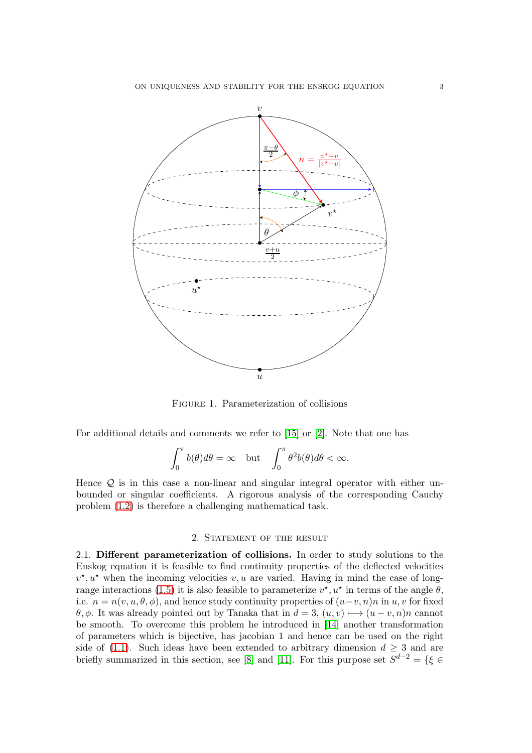

Figure 1. Parameterization of collisions

For additional details and comments we refer to [\[15\]](#page-19-5) or [\[2\]](#page-19-6). Note that one has

$$
\int_0^{\pi} b(\theta)d\theta = \infty \quad \text{but} \quad \int_0^{\pi} \theta^2 b(\theta)d\theta < \infty.
$$

Hence  $Q$  is in this case a non-linear and singular integral operator with either unbounded or singular coefficients. A rigorous analysis of the corresponding Cauchy problem [\(1.2\)](#page-0-0) is therefore a challenging mathematical task.

### 2. Statement of the result

2.1. Different parameterization of collisions. In order to study solutions to the Enskog equation it is feasible to find continuity properties of the deflected velocities  $v^*, u^*$  when the incoming velocities  $v, u$  are varied. Having in mind the case of long-range interactions [\(1.5\)](#page-1-1) it is also feasible to parameterize  $v^*$ ,  $u^*$  in terms of the angle  $\theta$ , i.e.  $n = n(v, u, \theta, \phi)$ , and hence study continuity properties of  $(u-v, n)n$  in  $u, v$  for fixed θ, φ. It was already pointed out by Tanaka that in  $d = 3$ ,  $(u, v)$  →  $(u - v, n)n$  cannot be smooth. To overcome this problem he introduced in [\[14\]](#page-19-7) another transformation of parameters which is bijective, has jacobian 1 and hence can be used on the right side of [\(1.1\)](#page-0-1). Such ideas have been extended to arbitrary dimension  $d \geq 3$  and are briefly summarized in this section, see [\[8\]](#page-19-9) and [\[11\]](#page-19-10). For this purpose set  $S^{d-2} = \{ \xi \in \mathbb{R} \mid S^{d-2} \leq \xi \leq \xi \}$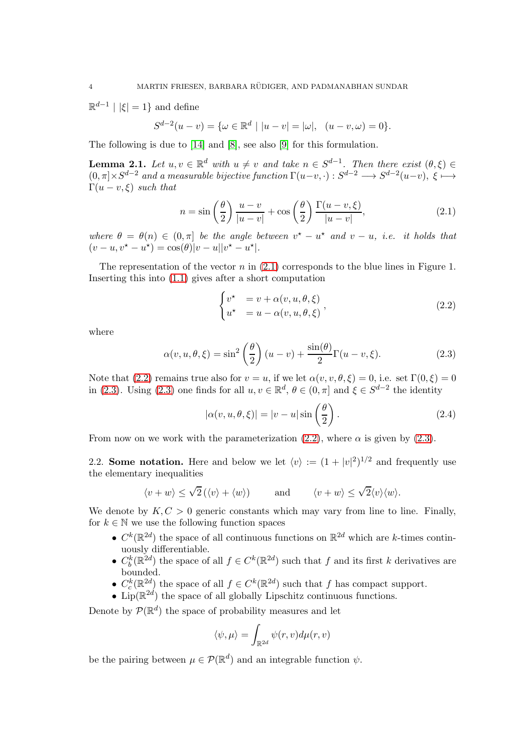$\mathbb{R}^{d-1}$  |  $|\xi| = 1$ } and define

$$
S^{d-2}(u-v) = \{ \omega \in \mathbb{R}^d \mid |u-v| = |\omega|, \ \ (u-v, \omega) = 0 \}.
$$

The following is due to [\[14\]](#page-19-7) and [\[8\]](#page-19-9), see also [\[9\]](#page-19-1) for this formulation.

**Lemma 2.1.** Let  $u, v \in \mathbb{R}^d$  with  $u \neq v$  and take  $n \in S^{d-1}$ . Then there exist  $(\theta, \xi) \in$  $(0, \pi] \times S^{d-2}$  *and a measurable bijective function*  $\Gamma(u-v, \cdot) : S^{d-2} \longrightarrow S^{d-2}(u-v), \xi \longmapsto$  $\Gamma(u - v, \xi)$  *such that* 

$$
n = \sin\left(\frac{\theta}{2}\right) \frac{u-v}{|u-v|} + \cos\left(\frac{\theta}{2}\right) \frac{\Gamma(u-v,\xi)}{|u-v|},\tag{2.1}
$$

where  $\theta = \theta(n) \in (0, \pi]$  *be the angle between*  $v^* - u^*$  *and*  $v - u$ *, i.e. it holds that*  $(v - u, v^* - u^*) = \cos(\theta)|v - u||v^* - u^*|.$ 

The representation of the vector n in  $(2.1)$  corresponds to the blue lines in Figure 1. Inserting this into [\(1.1\)](#page-0-1) gives after a short computation

<span id="page-3-2"></span><span id="page-3-1"></span><span id="page-3-0"></span>
$$
\begin{cases}\nv^* &= v + \alpha(v, u, \theta, \xi) \\
u^* &= u - \alpha(v, u, \theta, \xi)\n\end{cases}
$$
\n(2.2)

where

$$
\alpha(v, u, \theta, \xi) = \sin^2\left(\frac{\theta}{2}\right)(u - v) + \frac{\sin(\theta)}{2}\Gamma(u - v, \xi).
$$
 (2.3)

Note that [\(2.2\)](#page-3-1) remains true also for  $v = u$ , if we let  $\alpha(v, v, \theta, \xi) = 0$ , i.e. set  $\Gamma(0, \xi) = 0$ in [\(2.3\)](#page-3-2). Using (2.3) one finds for all  $u, v \in \mathbb{R}^d$ ,  $\theta \in (0, \pi]$  and  $\xi \in S^{d-2}$  the identity

<span id="page-3-3"></span>
$$
|\alpha(v, u, \theta, \xi)| = |v - u| \sin\left(\frac{\theta}{2}\right).
$$
 (2.4)

From now on we work with the parameterization [\(2.2\)](#page-3-1), where  $\alpha$  is given by [\(2.3\)](#page-3-2).

2.2. **Some notation.** Here and below we let  $\langle v \rangle := (1 + |v|^2)^{1/2}$  and frequently use the elementary inequalities

$$
\langle v + w \rangle \le \sqrt{2} (\langle v \rangle + \langle w \rangle)
$$
 and  $\langle v + w \rangle \le \sqrt{2} \langle v \rangle \langle w \rangle$ .

We denote by  $K, C > 0$  generic constants which may vary from line to line. Finally, for  $k \in \mathbb{N}$  we use the following function spaces

- $C^k(\mathbb{R}^{2d})$  the space of all continuous functions on  $\mathbb{R}^{2d}$  which are k-times continuously differentiable.
- $C_b^k(\mathbb{R}^{2d})$  the space of all  $f \in C^k(\mathbb{R}^{2d})$  such that f and its first k derivatives are bounded.
- $C_c^k(\mathbb{R}^{2d})$  the space of all  $f \in C^k(\mathbb{R}^{2d})$  such that f has compact support.
- Lip( $\mathbb{R}^{2d}$ ) the space of all globally Lipschitz continuous functions.

Denote by  $\mathcal{P}(\mathbb{R}^d)$  the space of probability measures and let

$$
\langle \psi, \mu \rangle = \int_{\mathbb{R}^{2d}} \psi(r,v) d\mu(r,v)
$$

be the pairing between  $\mu \in \mathcal{P}(\mathbb{R}^d)$  and an integrable function  $\psi$ .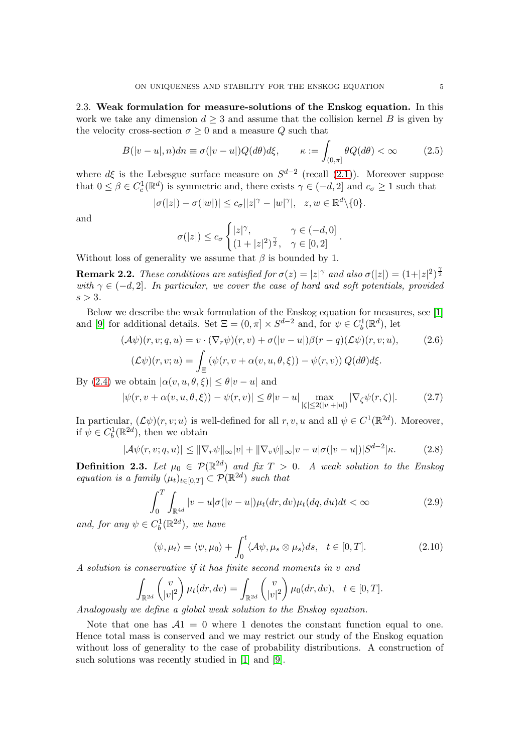2.3. Weak formulation for measure-solutions of the Enskog equation. In this work we take any dimension  $d \geq 3$  and assume that the collision kernel B is given by the velocity cross-section  $\sigma \geq 0$  and a measure Q such that

$$
B(|v-u|,n)dn \equiv \sigma(|v-u|)Q(d\theta)d\xi, \qquad \kappa := \int_{(0,\pi]} \theta Q(d\theta) < \infty \qquad (2.5)
$$

where  $d\xi$  is the Lebesgue surface measure on  $S^{d-2}$  (recall [\(2.1\)](#page-3-0)). Moreover suppose that  $0 \le \beta \in C_c^1(\mathbb{R}^d)$  is symmetric and, there exists  $\gamma \in (-d, 2]$  and  $c_{\sigma} \ge 1$  such that

$$
|\sigma(|z|) - \sigma(|w|)| \leq c_{\sigma} ||z|^{\gamma} - |w|^{\gamma} |, \quad z, w \in \mathbb{R}^d \setminus \{0\}.
$$

and

<span id="page-4-0"></span>
$$
\sigma(|z|) \le c_{\sigma} \begin{cases} |z|^{\gamma}, & \gamma \in (-d,0] \\ (1+|z|^2)^{\frac{\gamma}{2}}, & \gamma \in [0,2] \end{cases}.
$$

Without loss of generality we assume that  $\beta$  is bounded by 1.

**Remark 2.2.** *These conditions are satisfied for*  $\sigma(z) = |z|^\gamma$  *and also*  $\sigma(|z|) = (1+|z|^2)^{\frac{\gamma}{2}}$ *with*  $\gamma \in (-d, 2]$ *. In particular, we cover the case of hard and soft potentials, provided*  $s > 3$ .

Below we describe the weak formulation of the Enskog equation for measures, see [\[1\]](#page-19-0) and [\[9\]](#page-19-1) for additional details. Set  $\Xi = (0, \pi] \times S^{d-2}$  and, for  $\psi \in C_b^1(\mathbb{R}^d)$ , let

$$
(\mathcal{A}\psi)(r,v;q,u) = v \cdot (\nabla_r \psi)(r,v) + \sigma(|v-u|)\beta(r-q)(\mathcal{L}\psi)(r,v;u),
$$
\n
$$
(\mathcal{L}\psi)(r,v;u) = \int_{\Xi} (\psi(r,v+\alpha(v,u,\theta,\xi)) - \psi(r,v)) Q(d\theta)d\xi.
$$
\n(2.6)

By [\(2.4\)](#page-3-3) we obtain  $|\alpha(v, u, \theta, \xi)| \leq \theta |v - u|$  and

$$
|\psi(r, v + \alpha(v, u, \theta, \xi)) - \psi(r, v)| \le \theta |v - u| \max_{|\zeta| \le 2(|v| + |u|)} |\nabla_{\zeta} \psi(r, \zeta)|. \tag{2.7}
$$

In particular,  $(\mathcal{L}\psi)(r,v;u)$  is well-defined for all  $r, v, u$  and all  $\psi \in C^1(\mathbb{R}^{2d})$ . Moreover, if  $\psi \in C_b^1(\mathbb{R}^{2d})$ , then we obtain

$$
|\mathcal{A}\psi(r,v;q,u)| \leq \|\nabla_r \psi\|_{\infty} |v| + \|\nabla_v \psi\|_{\infty} |v - u|\sigma(|v - u|)|S^{d-2}|\kappa. \tag{2.8}
$$

**Definition 2.3.** Let  $\mu_0 \in \mathcal{P}(\mathbb{R}^{2d})$  and fix  $T > 0$ . A weak solution to the Enskog *equation is a family*  $(\mu_t)_{t \in [0,T]} \subset \mathcal{P}(\mathbb{R}^{2d})$  *such that* 

<span id="page-4-1"></span>
$$
\int_0^T \int_{\mathbb{R}^{4d}} |v - u|\sigma(|v - u|)\mu_t(dr, dv)\mu_t(dq, du)dt < \infty
$$
\n(2.9)

and, for any  $\psi \in C_b^1(\mathbb{R}^{2d})$ , we have

<span id="page-4-2"></span>
$$
\langle \psi, \mu_t \rangle = \langle \psi, \mu_0 \rangle + \int_0^t \langle A\psi, \mu_s \otimes \mu_s \rangle ds, \quad t \in [0, T]. \tag{2.10}
$$

*A solution is conservative if it has finite second moments in* v *and*

$$
\int_{\mathbb{R}^{2d}} \begin{pmatrix} v \\ |v|^2 \end{pmatrix} \mu_t(dr, dv) = \int_{\mathbb{R}^{2d}} \begin{pmatrix} v \\ |v|^2 \end{pmatrix} \mu_0(dr, dv), \quad t \in [0, T].
$$

*Analogously we define a global weak solution to the Enskog equation.*

Note that one has  $A_1 = 0$  where 1 denotes the constant function equal to one. Hence total mass is conserved and we may restrict our study of the Enskog equation without loss of generality to the case of probability distributions. A construction of such solutions was recently studied in [\[1\]](#page-19-0) and [\[9\]](#page-19-1).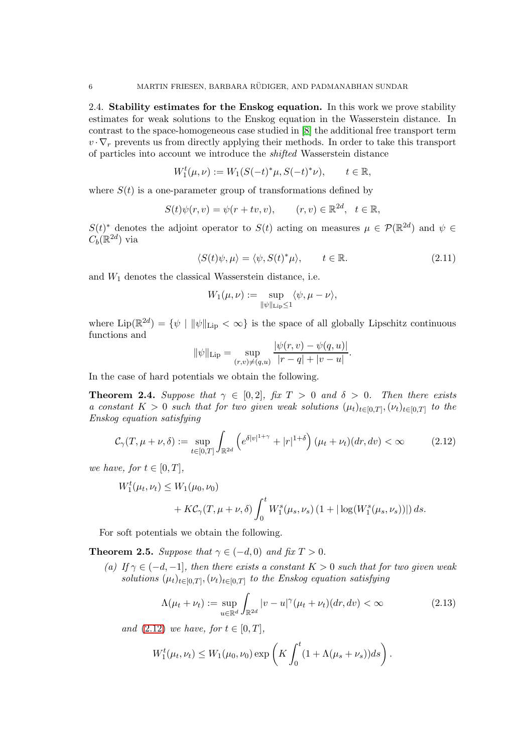2.4. Stability estimates for the Enskog equation. In this work we prove stability estimates for weak solutions to the Enskog equation in the Wasserstein distance. In contrast to the space-homogeneous case studied in [\[8\]](#page-19-9) the additional free transport term  $v \cdot \nabla_r$  prevents us from directly applying their methods. In order to take this transport of particles into account we introduce the *shifted* Wasserstein distance

$$
W_1^t(\mu, \nu) := W_1(S(-t)^*\mu, S(-t)^*\nu), \qquad t \in \mathbb{R},
$$

where  $S(t)$  is a one-parameter group of transformations defined by

$$
S(t)\psi(r,v) = \psi(r+tv,v), \qquad (r,v) \in \mathbb{R}^{2d}, \quad t \in \mathbb{R},
$$

 $S(t)^*$  denotes the adjoint operator to  $S(t)$  acting on measures  $\mu \in \mathcal{P}(\mathbb{R}^{2d})$  and  $\psi \in$  $C_b(\mathbb{R}^{2d})$  via

$$
\langle S(t)\psi,\mu\rangle = \langle \psi, S(t)^*\mu\rangle, \qquad t \in \mathbb{R}.\tag{2.11}
$$

and  $W_1$  denotes the classical Wasserstein distance, i.e.

<span id="page-5-2"></span>
$$
W_1(\mu,\nu) := \sup_{\|\psi\|_{\mathrm{Lip}} \leq 1} \langle \psi, \mu - \nu \rangle,
$$

where  $\text{Lip}(\mathbb{R}^{2d}) = \{ \psi \mid ||\psi||_{\text{Lip}} < \infty \}$  is the space of all globally Lipschitz continuous functions and  $||u(x) - v||$ 

<span id="page-5-0"></span>
$$
\|\psi\|_{\text{Lip}} = \sup_{(r,v)\neq(q,u)} \frac{|\psi(r,v) - \psi(q,u)|}{|r-q| + |v-u|}.
$$

In the case of hard potentials we obtain the following.

<span id="page-5-3"></span>**Theorem 2.4.** *Suppose that*  $\gamma \in [0,2]$ *, fix*  $T > 0$  *and*  $\delta > 0$ *. Then there exists a* constant  $K > 0$  such that for two given weak solutions  $(\mu_t)_{t \in [0,T]}, (\nu_t)_{t \in [0,T]}$  to the *Enskog equation satisfying*

$$
\mathcal{C}_{\gamma}(T, \mu + \nu, \delta) := \sup_{t \in [0,T]} \int_{\mathbb{R}^{2d}} \left( e^{\delta |\nu|^{1+\gamma}} + |r|^{1+\delta} \right) (\mu_t + \nu_t)(dr, dv) < \infty \tag{2.12}
$$

*we have, for*  $t \in [0, T]$ *,* 

$$
W_1^t(\mu_t, \nu_t) \le W_1(\mu_0, \nu_0) + KC_\gamma(T, \mu + \nu, \delta) \int_0^t W_1^s(\mu_s, \nu_s) (1 + |\log(W_1^s(\mu_s, \nu_s))|) ds.
$$

For soft potentials we obtain the following.

<span id="page-5-4"></span>**Theorem 2.5.** *Suppose that*  $\gamma \in (-d, 0)$  *and*  $\hat{f}$ *ix*  $T > 0$ *.* 

 $(a)$  If  $\gamma$  ∈ (−d, −1]*, then there exists a constant*  $K > 0$  *such that for two given weak* solutions  $(\mu_t)_{t \in [0,T]}, (\nu_t)_{t \in [0,T]}$  to the Enskog equation satisfying

<span id="page-5-1"></span>
$$
\Lambda(\mu_t + \nu_t) := \sup_{u \in \mathbb{R}^d} \int_{\mathbb{R}^{2d}} |v - u|^\gamma (\mu_t + \nu_t)(dr, dv) < \infty \tag{2.13}
$$

*and* [\(2.12\)](#page-5-0) *we have, for*  $t \in [0, T]$ *,* 

$$
W_1^t(\mu_t, \nu_t) \leq W_1(\mu_0, \nu_0) \exp\left(K \int_0^t (1 + \Lambda(\mu_s + \nu_s)) ds\right).
$$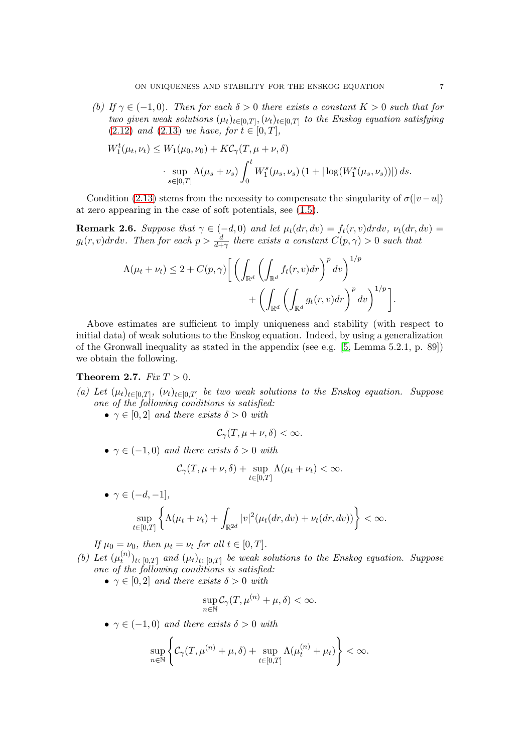*(b)* If  $\gamma \in (-1, 0)$ *. Then for each*  $\delta > 0$  *there exists a constant*  $K > 0$  *such that for two given weak solutions*  $(\mu_t)_{t \in [0,T]}, (\nu_t)_{t \in [0,T]}$  *to the Enskog equation satisfying*  $(2.12)$  *and*  $(2.13)$  *we have, for*  $t \in [0, T]$ *,* 

$$
W_1^t(\mu_t, \nu_t) \le W_1(\mu_0, \nu_0) + K\mathcal{C}_{\gamma}(T, \mu + \nu, \delta)
$$
  
 
$$
\cdot \sup_{s \in [0,T]} \Lambda(\mu_s + \nu_s) \int_0^t W_1^s(\mu_s, \nu_s) (1 + |\log(W_1^s(\mu_s, \nu_s))|) ds.
$$

Condition [\(2.13\)](#page-5-1) stems from the necessity to compensate the singularity of  $\sigma(|v-u|)$ at zero appearing in the case of soft potentials, see [\(1.5\)](#page-1-1).

**Remark 2.6.** *Suppose that*  $\gamma \in (-d, 0)$  *and let*  $\mu_t(dr, dv) = f_t(r, v) dr dv$ ,  $\nu_t(dr, dv) =$  $g_t(r, v) dr dv$ . Then for each  $p > \frac{d}{d + \gamma}$  there exists a constant  $C(p, \gamma) > 0$  such that

$$
\Lambda(\mu_t + \nu_t) \le 2 + C(p, \gamma) \Bigg[ \left( \int_{\mathbb{R}^d} \left( \int_{\mathbb{R}^d} f_t(r, v) dr \right)^p dv \right)^{1/p} + \left( \int_{\mathbb{R}^d} \left( \int_{\mathbb{R}^d} g_t(r, v) dr \right)^p dv \right)^{1/p} \Bigg].
$$

Above estimates are sufficient to imply uniqueness and stability (with respect to initial data) of weak solutions to the Enskog equation. Indeed, by using a generalization of the Gronwall inequality as stated in the appendix (see e.g. [\[5,](#page-19-11) Lemma 5.2.1, p. 89]) we obtain the following.

## **Theorem 2.7.**  $Fix T > 0$ .

- (a) Let  $(\mu_t)_{t\in[0,T]}, (\nu_t)_{t\in[0,T]}$  be two weak solutions to the Enskog equation. Suppose *one of the following conditions is satisfied:*
	- $\gamma \in [0, 2]$  *and there exists*  $\delta > 0$  *with*

$$
\mathcal{C}_{\gamma}(T,\mu+\nu,\delta)<\infty.
$$

•  $\gamma \in (-1,0)$  *and there exists*  $\delta > 0$  *with* 

$$
\mathcal{C}_{\gamma}(T,\mu+\nu,\delta)+\sup_{t\in[0,T]}\Lambda(\mu_t+\nu_t)<\infty.
$$

• 
$$
\gamma \in (-d, -1],
$$
  
\n
$$
\sup_{t \in [0,T]} \left\{ \Lambda(\mu_t + \nu_t) + \int_{\mathbb{R}^{2d}} |v|^2 (\mu_t(dr, dv) + \nu_t(dr, dv)) \right\} < \infty.
$$

*If*  $\mu_0 = \nu_0$ *, then*  $\mu_t = \nu_t$  *for all*  $t \in [0, T]$ *.* 

- (b) Let  $(\mu_t^{(n)})$  $\mathcal{L}_t^{(n)}$ <sub>t</sub> $\in$ <sub>[0,T]</sub> and  $(\mu_t)_{t \in [0,T]}$  be weak solutions to the Enskog equation. Suppose *one of the following conditions is satisfied:*
	- $\gamma \in [0, 2]$  *and there exists*  $\delta > 0$  *with*

$$
\sup_{n\in\mathbb{N}} C_{\gamma}(T,\mu^{(n)}+\mu,\delta)<\infty.
$$

•  $\gamma \in (-1,0)$  *and there exists*  $\delta > 0$  *with* 

$$
\sup_{n\in\mathbb{N}}\left\{\mathcal{C}_\gamma(T,\mu^{(n)}+\mu,\delta)+\sup_{t\in[0,T]}\Lambda(\mu^{(n)}_t+\mu_t)\right\}<\infty.
$$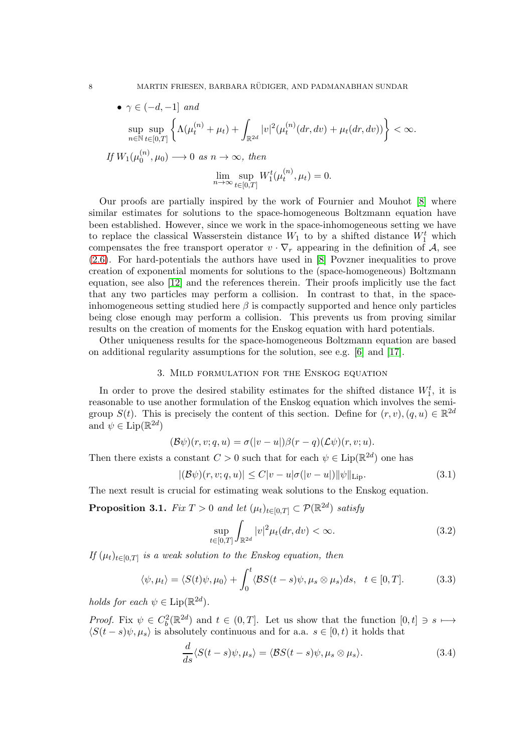8 MARTIN FRIESEN, BARBARA RÜDIGER, AND PADMANABHAN SUNDAR

$$
\bullet \ \gamma \in (-d, -1] \ \text{and}
$$
\n
$$
\sup_{n \in \mathbb{N}} \sup_{t \in [0, T]} \left\{ \Lambda(\mu_t^{(n)} + \mu_t) + \int_{\mathbb{R}^{2d}} |v|^2(\mu_t^{(n)}(dr, dv) + \mu_t(dr, dv)) \right\} < \infty.
$$
\nIf  $W_1(\mu_0^{(n)}, \mu_0) \to 0 \text{ as } n \to \infty$ , then\n
$$
\lim_{n \to \infty} \sup_{t \in [0, T]} W_1^t(\mu_t^{(n)}, \mu_t) = 0.
$$

Our proofs are partially inspired by the work of Fournier and Mouhot [\[8\]](#page-19-9) where similar estimates for solutions to the space-homogeneous Boltzmann equation have been established. However, since we work in the space-inhomogeneous setting we have to replace the classical Wasserstein distance  $W_1$  to by a shifted distance  $W_1^t$  which compensates the free transport operator  $v \cdot \nabla_r$  appearing in the definition of A, see [\(2.6\)](#page-4-0). For hard-potentials the authors have used in [\[8\]](#page-19-9) Povzner inequalities to prove creation of exponential moments for solutions to the (space-homogeneous) Boltzmann equation, see also [\[12\]](#page-19-12) and the references therein. Their proofs implicitly use the fact that any two particles may perform a collision. In contrast to that, in the spaceinhomogeneous setting studied here  $\beta$  is compactly supported and hence only particles being close enough may perform a collision. This prevents us from proving similar results on the creation of moments for the Enskog equation with hard potentials.

Other uniqueness results for the space-homogeneous Boltzmann equation are based on additional regularity assumptions for the solution, see e.g. [\[6\]](#page-19-13) and [\[17\]](#page-19-14).

#### 3. Mild formulation for the Enskog equation

In order to prove the desired stability estimates for the shifted distance  $W_1^t$ , it is reasonable to use another formulation of the Enskog equation which involves the semigroup  $S(t)$ . This is precisely the content of this section. Define for  $(r, v), (q, u) \in \mathbb{R}^{2d}$ and  $\psi \in \text{Lip}(\mathbb{R}^{2d})$ 

$$
(\mathcal{B}\psi)(r,v;q,u)=\sigma(|v-u|)\beta(r-q)(\mathcal{L}\psi)(r,v;u).
$$

Then there exists a constant  $C > 0$  such that for each  $\psi \in \text{Lip}(\mathbb{R}^{2d})$  one has

$$
|(\mathcal{B}\psi)(r,v;q,u)| \le C|v-u|\sigma(|v-u|) \|\psi\|_{\text{Lip}}.\tag{3.1}
$$

The next result is crucial for estimating weak solutions to the Enskog equation.

<span id="page-7-4"></span>**Proposition 3.1.** *Fix*  $T > 0$  *and let*  $(\mu_t)_{t \in [0,T]} \subset \mathcal{P}(\mathbb{R}^{2d})$  *satisfy* 

<span id="page-7-3"></span><span id="page-7-1"></span><span id="page-7-0"></span>
$$
\sup_{t\in[0,T]}\int_{\mathbb{R}^{2d}}|v|^2\mu_t(dr,dv)<\infty.\tag{3.2}
$$

*If*  $(\mu_t)_{t \in [0,T]}$  *is a weak solution to the Enskog equation, then* 

$$
\langle \psi, \mu_t \rangle = \langle S(t)\psi, \mu_0 \rangle + \int_0^t \langle \mathcal{B}S(t-s)\psi, \mu_s \otimes \mu_s \rangle ds, \quad t \in [0, T]. \tag{3.3}
$$

*holds for each*  $\psi \in \text{Lip}(\mathbb{R}^{2d})$ .

*Proof.* Fix  $\psi \in C_b^2(\mathbb{R}^{2d})$  and  $t \in (0,T]$ . Let us show that the function  $[0,t] \ni s \mapsto$  $\langle S(t - s)\psi, \mu_s \rangle$  is absolutely continuous and for a.a.  $s \in [0, t)$  it holds that

<span id="page-7-2"></span>
$$
\frac{d}{ds}\langle S(t-s)\psi,\mu_s\rangle = \langle \mathcal{B}S(t-s)\psi,\mu_s\otimes\mu_s\rangle.
$$
 (3.4)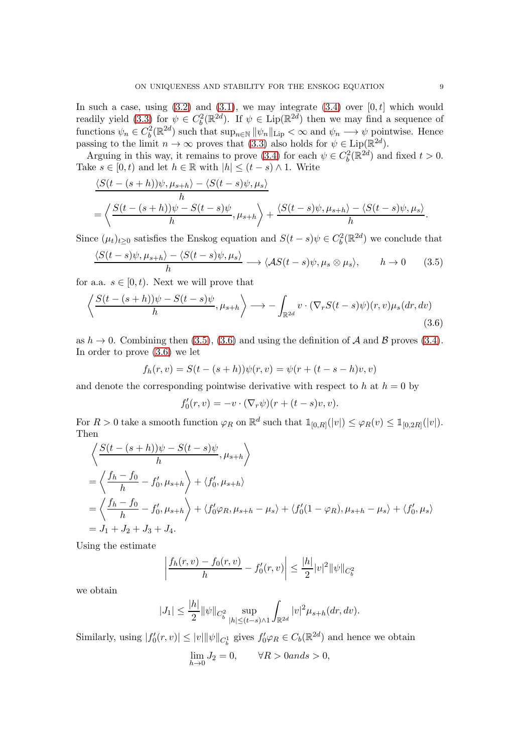In such a case, using  $(3.2)$  and  $(3.1)$ , we may integrate  $(3.4)$  over  $[0, t]$  which would readily yield [\(3.3\)](#page-7-3) for  $\psi \in C_b^2(\mathbb{R}^{2d})$ . If  $\psi \in \text{Lip}(\mathbb{R}^{2d})$  then we may find a sequence of functions  $\psi_n \in C_b^2(\mathbb{R}^{2d})$  such that  $\sup_{n \in \mathbb{N}} ||\psi_n||_{\text{Lip}} < \infty$  and  $\psi_n \longrightarrow \psi$  pointwise. Hence passing to the limit  $n \to \infty$  proves that [\(3.3\)](#page-7-3) also holds for  $\psi \in \text{Lip}(\mathbb{R}^{2d})$ .

Arguing in this way, it remains to prove [\(3.4\)](#page-7-2) for each  $\psi \in C_b^2(\mathbb{R}^{2d})$  and fixed  $t > 0$ . Take  $s \in [0, t)$  and let  $h \in \mathbb{R}$  with  $|h| \leq (t - s) \wedge 1$ . Write

$$
\frac{\langle S(t-(s+h))\psi,\mu_{s+h}\rangle-\langle S(t-s)\psi,\mu_s\rangle}{h} = \left\langle \frac{S(t-(s+h))\psi-S(t-s)\psi}{h},\mu_{s+h}\right\rangle + \frac{\langle S(t-s)\psi,\mu_{s+h}\rangle-\langle S(t-s)\psi,\mu_s\rangle}{h}.
$$

Since  $(\mu_t)_{t\geq 0}$  satisfies the Enskog equation and  $S(t-s)\psi \in C_b^2(\mathbb{R}^{2d})$  we conclude that

$$
\frac{\langle S(t-s)\psi, \mu_{s+h}\rangle - \langle S(t-s)\psi, \mu_s\rangle}{h} \longrightarrow \langle AS(t-s)\psi, \mu_s \otimes \mu_s\rangle, \qquad h \to 0 \qquad (3.5)
$$

for a.a.  $s \in [0, t)$ . Next we will prove that

$$
\left\langle \frac{S(t-(s+h))\psi - S(t-s)\psi}{h}, \mu_{s+h} \right\rangle \longrightarrow -\int_{\mathbb{R}^{2d}} v \cdot (\nabla_r S(t-s)\psi)(r, v)\mu_s(dr, dv)
$$
\n(3.6)

as  $h \to 0$ . Combining then [\(3.5\)](#page-8-0), [\(3.6\)](#page-8-1) and using the definition of A and B proves [\(3.4\)](#page-7-2). In order to prove [\(3.6\)](#page-8-1) we let

$$
f_h(r, v) = S(t - (s + h))\psi(r, v) = \psi(r + (t - s - h)v, v)
$$

and denote the corresponding pointwise derivative with respect to h at  $h = 0$  by

<span id="page-8-1"></span><span id="page-8-0"></span>
$$
f'_0(r,v) = -v \cdot (\nabla_r \psi)(r + (t - s)v, v).
$$

For  $R > 0$  take a smooth function  $\varphi_R$  on  $\mathbb{R}^d$  such that  $\mathbb{1}_{[0,R]}(|v|) \leq \varphi_R(v) \leq \mathbb{1}_{[0,2R]}(|v|)$ . Then

$$
\left\langle \frac{S(t-(s+h))\psi - S(t-s)\psi}{h}, \mu_{s+h} \right\rangle
$$
  
=  $\left\langle \frac{f_h - f_0}{h} - f'_0, \mu_{s+h} \right\rangle + \left\langle f'_0, \mu_{s+h} \right\rangle$   
=  $\left\langle \frac{f_h - f_0}{h} - f'_0, \mu_{s+h} \right\rangle + \left\langle f'_0 \varphi_R, \mu_{s+h} - \mu_s \right\rangle + \left\langle f'_0 (1 - \varphi_R), \mu_{s+h} - \mu_s \right\rangle + \left\langle f'_0, \mu_s \right\rangle$   
=  $J_1 + J_2 + J_3 + J_4.$ 

Using the estimate

$$
\left| \frac{f_h(r,v) - f_0(r,v)}{h} - f'_0(r,v) \right| \le \frac{|h|}{2} |v|^2 ||\psi||_{C_b^2}
$$

we obtain

$$
|J_1| \le \frac{|h|}{2} ||\psi||_{C_b^2} \sup_{|h| \le (t-s)\wedge 1} \int_{\mathbb{R}^{2d}} |v|^2 \mu_{s+h}(dr, dv).
$$

Similarly, using  $|f'_0(r, v)| \le |v| \|\psi\|_{C_b^1}$  gives  $f'_0 \varphi_R \in C_b(\mathbb{R}^{2d})$  and hence we obtain  $\lim_{h \to 0} J_2 = 0, \quad \forall R > 0 \text{ and } s > 0,$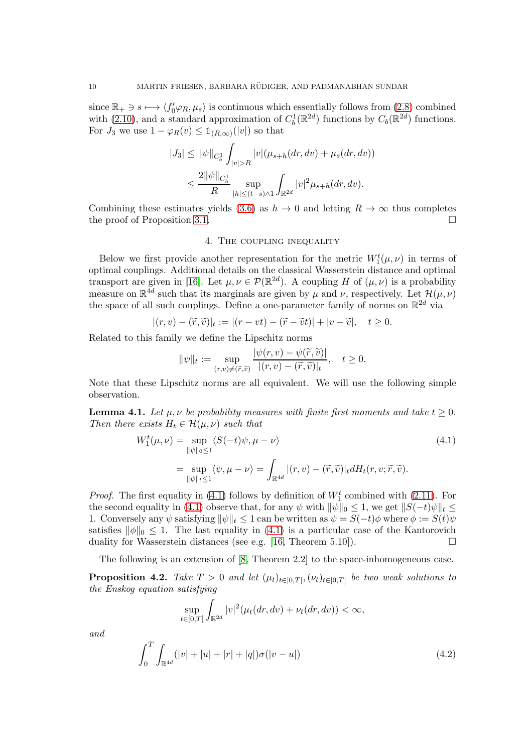since  $\mathbb{R}_+ \ni s \longmapsto \langle f'_0\varphi_R, \mu_s \rangle$  is continuous which essentially follows from [\(2.8\)](#page-4-1) combined with [\(2.10\)](#page-4-2), and a standard approximation of  $C_b^1(\mathbb{R}^{2d})$  functions by  $C_b(\mathbb{R}^{2d})$  functions. For  $J_3$  we use  $1 - \varphi_R(v) \leq \mathbb{1}_{(R,\infty)}(|v|)$  so that

$$
|J_3| \le ||\psi||_{C_b^1} \int_{|v|>R} |v|(\mu_{s+h}(dr,dv) + \mu_s(dr,dv))
$$
  

$$
\le \frac{2||\psi||_{C_b^1}}{R} \sup_{|h| \le (t-s)\wedge 1} \int_{\mathbb{R}^{2d}} |v|^2 \mu_{s+h}(dr,dv).
$$

Combining these estimates yields [\(3.6\)](#page-8-1) as  $h \to 0$  and letting  $R \to \infty$  thus completes the proof of Proposition 3.1. the proof of Proposition [3.1.](#page-7-4)

### 4. The coupling inequality

Below we first provide another representation for the metric  $W_1^t(\mu, \nu)$  in terms of optimal couplings. Additional details on the classical Wasserstein distance and optimal transport are given in [\[16\]](#page-19-15). Let  $\mu, \nu \in \mathcal{P}(\mathbb{R}^{2d})$ . A coupling H of  $(\mu, \nu)$  is a probability measure on  $\mathbb{R}^{4d}$  such that its marginals are given by  $\mu$  and  $\nu$ , respectively. Let  $\mathcal{H}(\mu, \nu)$ the space of all such couplings. Define a one-parameter family of norms on  $\mathbb{R}^{2d}$  via

$$
|(r,v)-(\widetilde{r},\widetilde{v})|_t:=|(r-vt)-(\widetilde{r}-\widetilde{v}t)|+|v-\widetilde{v}|, \quad t\geq 0.
$$

Related to this family we define the Lipschitz norms

<span id="page-9-0"></span>
$$
\|\psi\|_{t} := \sup_{(r,v)\neq(\widetilde{r},\widetilde{v})} \frac{|\psi(r,v) - \psi(\widetilde{r},\widetilde{v})|}{|(r,v) - (\widetilde{r},\widetilde{v})|_{t}}, \quad t \geq 0.
$$

Note that these Lipschitz norms are all equivalent. We will use the following simple observation.

**Lemma 4.1.** Let  $\mu, \nu$  be probability measures with finite first moments and take  $t \geq 0$ . *Then there exists*  $H_t \in \mathcal{H}(\mu, \nu)$  *such that* 

$$
W_1^t(\mu, \nu) = \sup_{\|\psi\|_0 \le 1} \langle S(-t)\psi, \mu - \nu \rangle
$$
  
= 
$$
\sup_{\|\psi\|_t \le 1} \langle \psi, \mu - \nu \rangle = \int_{\mathbb{R}^{4d}} |(r, v) - (\tilde{r}, \tilde{v})|_t dH_t(r, v; \tilde{r}, \tilde{v}).
$$
 (4.1)

*Proof.* The first equality in  $(4.1)$  follows by definition of  $W_1^t$  combined with  $(2.11)$ . For the second equality in [\(4.1\)](#page-9-0) observe that, for any  $\psi$  with  $\|\psi\|_0 \leq 1$ , we get  $\|S(-t)\psi\|_t \leq$ 1. Conversely any  $\psi$  satisfying  $\|\psi\|_t \leq 1$  can be written as  $\psi = S(-t)\phi$  where  $\phi := S(t)\psi$ satisfies  $\|\phi\|_0 \leq 1$ . The last equality in [\(4.1\)](#page-9-0) is a particular case of the Kantorovich duality for Wasserstein distances (see e.g. [16] Theorem 5.10] duality for Wasserstein distances (see e.g. [\[16,](#page-19-15) Theorem 5.10]).

The following is an extension of  $[8,$  Theorem 2.2 to the space-inhomogeneous case.

<span id="page-9-1"></span>**Proposition 4.2.** *Take*  $T > 0$  *and let*  $(\mu_t)_{t \in [0,T]}, (\nu_t)_{t \in [0,T]}$  *be two weak solutions to the Enskog equation satisfying*

<span id="page-9-2"></span>
$$
\sup_{t\in[0,T]}\int_{\mathbb{R}^{2d}}|v|^2(\mu_t(dr,dv)+\nu_t(dr,dv))<\infty,
$$

*and*

$$
\int_0^T \int_{\mathbb{R}^{4d}} (|v| + |u| + |r| + |q|) \sigma(|v - u|)
$$
\n(4.2)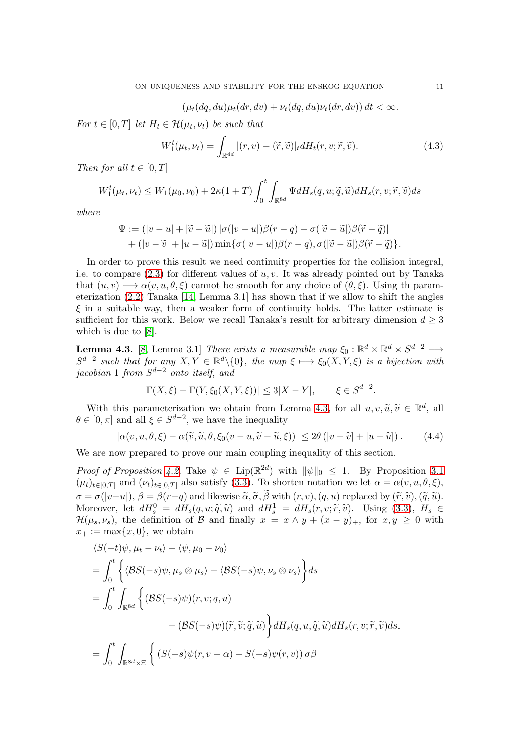<span id="page-10-2"></span> $(\mu_t(dq, du)\mu_t(dr, dv) + \nu_t(dq, du)\nu_t(dr, dv)) dt < \infty.$ 

*For*  $t \in [0, T]$  *let*  $H_t \in \mathcal{H}(\mu_t, \nu_t)$  *be such that* 

$$
W_1^t(\mu_t, \nu_t) = \int_{\mathbb{R}^{4d}} |(r, v) - (\widetilde{r}, \widetilde{v})|_t dH_t(r, v; \widetilde{r}, \widetilde{v}). \tag{4.3}
$$

*Then for all*  $t \in [0, T]$ 

$$
W_1^t(\mu_t, \nu_t) \le W_1(\mu_0, \nu_0) + 2\kappa(1+T) \int_0^t \int_{\mathbb{R}^{8d}} \Psi dH_s(q, u; \tilde{q}, \tilde{u}) dH_s(r, v; \tilde{r}, \tilde{v}) ds
$$

*where*

$$
\Psi := (|v - u| + |\widetilde{v} - \widetilde{u}|) |\sigma(|v - u|) \beta(r - q) - \sigma(|\widetilde{v} - \widetilde{u}|) \beta(\widetilde{r} - \widetilde{q})| + (|v - \widetilde{v}| + |u - \widetilde{u}|) \min{\{\sigma(|v - u|) \beta(r - q), \sigma(|\widetilde{v} - \widetilde{u}|) \beta(\widetilde{r} - \widetilde{q})\}}.
$$

In order to prove this result we need continuity properties for the collision integral, i.e. to compare  $(2.3)$  for different values of u, v. It was already pointed out by Tanaka that  $(u, v) \mapsto \alpha(v, u, \theta, \xi)$  cannot be smooth for any choice of  $(\theta, \xi)$ . Using th parameterization [\(2.2\)](#page-3-1) Tanaka [\[14,](#page-19-7) Lemma 3.1] has shown that if we allow to shift the angles  $\xi$  in a suitable way, then a weaker form of continuity holds. The latter estimate is sufficient for this work. Below we recall Tanaka's result for arbitrary dimension  $d \geq 3$ which is due to [\[8\]](#page-19-9).

<span id="page-10-0"></span>**Lemma 4.3.** [\[8,](#page-19-9) Lemma 3.1] *There exists a measurable map*  $\xi_0 : \mathbb{R}^d \times \mathbb{R}^d \times S^{d-2} \longrightarrow$  $S^{d-2}$  such that for any  $X, Y \in \mathbb{R}^d \setminus \{0\}$ , the map  $\xi \mapsto \xi_0(X, Y, \xi)$  is a bijection with *jacobian* 1 *from* S <sup>d</sup>−<sup>2</sup> *onto itself, and*

<span id="page-10-1"></span>
$$
|\Gamma(X,\xi) - \Gamma(Y,\xi_0(X,Y,\xi))| \le 3|X - Y|,
$$
  $\xi \in S^{d-2}.$ 

With this parameterization we obtain from Lemma [4.3,](#page-10-0) for all  $u, v, \tilde{u}, \tilde{v} \in \mathbb{R}^d$ , all  $\tilde{v} \in \mathbb{R}^d$ .  $\theta \in [0, \pi]$  and all  $\xi \in S^{d-2}$ , we have the inequality

$$
|\alpha(v, u, \theta, \xi) - \alpha(\widetilde{v}, \widetilde{u}, \theta, \xi_0(v - u, \widetilde{v} - \widetilde{u}, \xi))| \le 2\theta (|v - \widetilde{v}| + |u - \widetilde{u}|). \tag{4.4}
$$

We are now prepared to prove our main coupling inequality of this section.

*Proof of Proposition [4.2.](#page-9-1)* Take  $\psi \in \text{Lip}(\mathbb{R}^{2d})$  with  $\|\psi\|_0 \leq 1$ . By Proposition [3.1](#page-7-4)  $(\mu_t)_{t\in[0,T]}$  and  $(\nu_t)_{t\in[0,T]}$  also satisfy [\(3.3\)](#page-7-3). To shorten notation we let  $\alpha = \alpha(v, u, \theta, \xi)$ ,  $\sigma = \sigma(|v-u|), \beta = \beta(r-q)$  and likewise  $\tilde{\alpha}, \tilde{\sigma}, \tilde{\beta}$  with  $(r, v), (q, u)$  replaced by  $(\tilde{r}, \tilde{v}), (\tilde{q}, \tilde{u}).$ Moreover, let  $dH_s^0 = dH_s(q, u; \tilde{q}, \tilde{u})$  and  $dH_s^1 = dH_s(r, v; \tilde{r}, \tilde{v})$ . Using [\(3.3\)](#page-7-3),  $H_s \in$ <br> $2l(u,v)$ , the definition of  $R$  and finally  $\tilde{u}$  is a subject of  $\tilde{v}$  and  $\tilde{v}$  and  $\tilde{v}$  $\mathcal{H}(\mu_s, \nu_s)$ , the definition of B and finally  $x = x \wedge y + (x - y)_+$ , for  $x, y \geq 0$  with  $x_+ := \max\{x, 0\}$ , we obtain

$$
\langle S(-t)\psi, \mu_t - \nu_t \rangle - \langle \psi, \mu_0 - \nu_0 \rangle
$$
  
=  $\int_0^t \left\{ \langle \mathcal{B}S(-s)\psi, \mu_s \otimes \mu_s \rangle - \langle \mathcal{B}S(-s)\psi, \nu_s \otimes \nu_s \rangle \right\} ds$   
=  $\int_0^t \int_{\mathbb{R}^{8d}} \left\{ (\mathcal{B}S(-s)\psi)(r, v; q, u) - (\mathcal{B}S(-s)\psi)(\widetilde{r}, \widetilde{v}; \widetilde{q}, \widetilde{u}) \right\} dH_s(q, u, \widetilde{q}, \widetilde{u}) dH_s(r, v; \widetilde{r}, \widetilde{v}) ds.=  $\int_0^t \int_{\mathbb{R}^{8d} \times \Xi} \left\{ (S(-s)\psi(r, v + \alpha) - S(-s)\psi(r, v)) \sigma \beta \right\}$$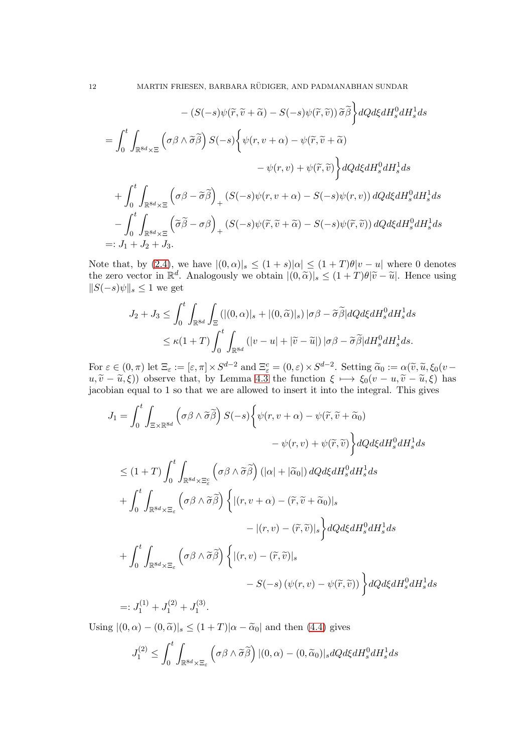$$
- (S(-s)\psi(\tilde{r}, \tilde{v} + \tilde{\alpha}) - S(-s)\psi(\tilde{r}, \tilde{v})) \tilde{\sigma} \tilde{\beta} \Big\} dQ d\xi dH_s^0 dH_s^1 ds
$$
  
\n
$$
= \int_0^t \int_{\mathbb{R}^{8d} \times \Xi} \left( \sigma \beta \wedge \tilde{\sigma} \tilde{\beta} \right) S(-s) \Big\{ \psi(r, v + \alpha) - \psi(\tilde{r}, \tilde{v} + \tilde{\alpha})
$$
  
\n
$$
- \psi(r, v) + \psi(\tilde{r}, \tilde{v}) \Big\} dQ d\xi dH_s^0 dH_s^1 ds
$$
  
\n
$$
+ \int_0^t \int_{\mathbb{R}^{8d} \times \Xi} \left( \sigma \beta - \tilde{\sigma} \tilde{\beta} \right)_+ (S(-s)\psi(r, v + \alpha) - S(-s)\psi(r, v)) dQ d\xi dH_s^0 dH_s^1 ds
$$
  
\n
$$
- \int_0^t \int_{\mathbb{R}^{8d} \times \Xi} \left( \tilde{\sigma} \tilde{\beta} - \sigma \beta \right)_+ (S(-s)\psi(\tilde{r}, \tilde{v} + \tilde{\alpha}) - S(-s)\psi(\tilde{r}, \tilde{v})) dQ d\xi dH_s^0 dH_s^1 ds
$$
  
\n
$$
=: J_1 + J_2 + J_3.
$$

Note that, by [\(2.4\)](#page-3-3), we have  $|(0,\alpha)|_s \leq (1+s)|\alpha| \leq (1+T)\theta|v-u|$  where 0 denotes the zero vector in  $\mathbb{R}^d$ . Analogously we obtain  $|(0,\tilde{\alpha})|_s \leq (1+T)\theta|\tilde{v}-\tilde{u}|$ . Hence using  $||S(-s)\psi||_s \leq 1$  we get

$$
J_2 + J_3 \le \int_0^t \int_{\mathbb{R}^{8d}} \int_{\Xi} (|(0, \alpha)|_s + |(0, \widetilde{\alpha})|_s) |\sigma \beta - \widetilde{\sigma} \widetilde{\beta}| dQ d\xi dH_s^0 dH_s^1 ds
$$
  

$$
\le \kappa (1+T) \int_0^t \int_{\mathbb{R}^{8d}} (|v - u| + |\widetilde{v} - \widetilde{u}|) |\sigma \beta - \widetilde{\sigma} \widetilde{\beta}| dH_s^0 dH_s^1 ds.
$$

For  $\varepsilon \in (0, \pi)$  let  $\Xi_{\varepsilon} := [\varepsilon, \pi] \times S^{d-2}$  and  $\Xi_{\varepsilon}^c = (0, \varepsilon) \times S^{d-2}$ . Setting  $\widetilde{\alpha}_0 := \alpha(\widetilde{v}, \widetilde{u}, \xi_0(v-\widetilde{v}, \widetilde{v}, \xi_0(v-\widetilde{v}, \widetilde{v}, \xi_0(v-\widetilde{v}, \widetilde{v}, \xi_0(v-\widetilde{v}, \widetilde{v}, \xi_0(v-\widetilde{v}, \widetilde{v}, \xi_0(v-\wid$  $u, \tilde{v} - \tilde{u}, \xi$ )) observe that, by Lemma [4.3](#page-10-0) the function  $\xi \mapsto \xi_0(v - u, \tilde{v} - \tilde{u}, \xi)$  has jacobian equal to 1 so that we are allowed to insert it into the integral. This gives

$$
J_{1} = \int_{0}^{t} \int_{\Xi \times \mathbb{R}^{8d}} \left( \sigma \beta \wedge \widetilde{\sigma} \widetilde{\beta} \right) S(-s) \left\{ \psi(r, v + \alpha) - \psi(\widetilde{r}, \widetilde{v} + \widetilde{\alpha}_{0}) \right.- \psi(r, v) + \psi(\widetilde{r}, \widetilde{v}) \right\} dQ d\xi dH_{s}^{0} dH_{s}^{1} ds\n\leq (1+T) \int_{0}^{t} \int_{\mathbb{R}^{8d} \times \Xi_{\varepsilon}} \left( \sigma \beta \wedge \widetilde{\sigma} \widetilde{\beta} \right) \left( |\alpha| + |\widetilde{\alpha}_{0}| \right) dQ d\xi dH_{s}^{0} dH_{s}^{1} ds\n+ \int_{0}^{t} \int_{\mathbb{R}^{8d} \times \Xi_{\varepsilon}} \left( \sigma \beta \wedge \widetilde{\sigma} \widetilde{\beta} \right) \left\{ |(r, v + \alpha) - (\widetilde{r}, \widetilde{v} + \widetilde{\alpha}_{0})|_{s} \right.- |(r, v) - (\widetilde{r}, \widetilde{v})|_{s} \right\} dQ d\xi dH_{s}^{0} dH_{s}^{1} ds\n+ \int_{0}^{t} \int_{\mathbb{R}^{8d} \times \Xi_{\varepsilon}} \left( \sigma \beta \wedge \widetilde{\sigma} \widetilde{\beta} \right) \left\{ |(r, v) - (\widetilde{r}, \widetilde{v})|_{s} \right.- S(-s) \left( \psi(r, v) - \psi(\widetilde{r}, \widetilde{v}) \right) \right\} dQ d\xi dH_{s}^{0} dH_{s}^{1} ds\n=: J_{1}^{(1)} + J_{1}^{(2)} + J_{1}^{(3)}.
$$

Using  $|(0, \alpha) - (0, \tilde{\alpha})|_{s} \le (1+T)|\alpha - \tilde{\alpha}_0|$  and then [\(4.4\)](#page-10-1) gives

$$
J_1^{(2)} \le \int_0^t \int_{\mathbb{R}^{8d} \times \Xi_{\varepsilon}} \left( \sigma \beta \wedge \widetilde{\sigma} \widetilde{\beta} \right) |(0, \alpha) - (0, \widetilde{\alpha}_0)|_s dQ d\xi dH_s^0 dH_s^1 ds
$$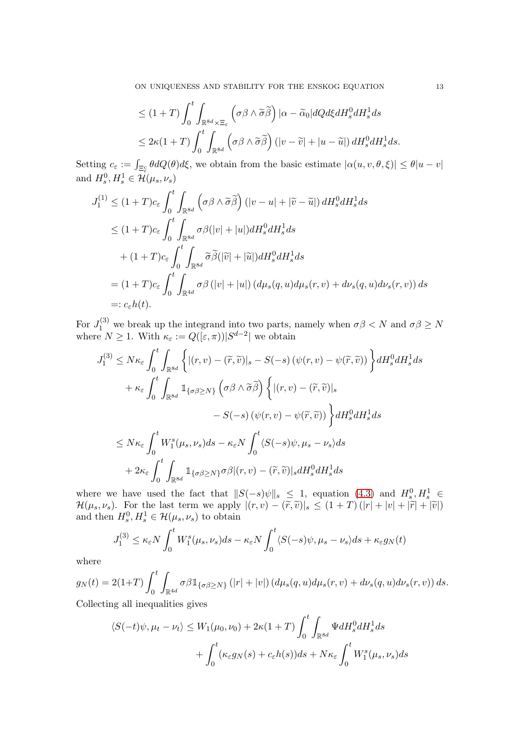ON UNIQUENESS AND STABILITY FOR THE ENSKOG EQUATION 13

$$
\leq (1+T)\int_0^t \int_{\mathbb{R}^{8d}\times\Xi_{\varepsilon}} \left(\sigma\beta\wedge\widetilde{\sigma}\widetilde{\beta}\right) |\alpha - \widetilde{\alpha}_0| dQ d\xi dH_s^0 dH_s^1 ds
$$
  

$$
\leq 2\kappa (1+T)\int_0^t \int_{\mathbb{R}^{8d}} \left(\sigma\beta\wedge\widetilde{\sigma}\widetilde{\beta}\right) \left(|v-\widetilde{v}|+|u-\widetilde{u}|\right) dH_s^0 dH_s^1 ds.
$$

Setting  $c_{\varepsilon} := \int_{\Xi_{\varepsilon}^c} \theta dQ(\theta) d\xi$ , we obtain from the basic estimate  $|\alpha(u, v, \theta, \xi)| \leq \theta |u - v|$ and  $H_s^0, H_s^1 \in \mathcal{H}(\mu_s, \nu_s)$ 

$$
J_1^{(1)} \le (1+T)c_{\varepsilon} \int_0^t \int_{\mathbb{R}^{8d}} \left( \sigma \beta \wedge \widetilde{\sigma} \widetilde{\beta} \right) (|v - u| + |\widetilde{v} - \widetilde{u}|) dH_s^0 dH_s^1 ds
$$
  
\n
$$
\le (1+T)c_{\varepsilon} \int_0^t \int_{\mathbb{R}^{8d}} \sigma \beta (|v| + |u|) dH_s^0 dH_s^1 ds
$$
  
\n
$$
+ (1+T)c_{\varepsilon} \int_0^t \int_{\mathbb{R}^{8d}} \widetilde{\sigma} \widetilde{\beta} (|\widetilde{v}| + |\widetilde{u}|) dH_s^0 dH_s^1 ds
$$
  
\n
$$
= (1+T)c_{\varepsilon} \int_0^t \int_{\mathbb{R}^{4d}} \sigma \beta (|v| + |u|) (d\mu_s(q, u) d\mu_s(r, v) + d\nu_s(q, u) d\nu_s(r, v)) ds
$$
  
\n
$$
=: c_{\varepsilon} h(t).
$$

For  $J_1^{(3)}$  we break up the integrand into two parts, namely when  $\sigma\beta < N$  and  $\sigma\beta \ge N$ where  $N \geq 1$ . With  $\kappa_{\varepsilon} := Q([\varepsilon, \pi)) |S^{d-2}|$  we obtain

$$
J_1^{(3)} \leq N \kappa_{\varepsilon} \int_0^t \int_{\mathbb{R}^{8d}} \left\{ |(r, v) - (\tilde{r}, \tilde{v})|_s - S(-s) \left( \psi(r, v) - \psi(\tilde{r}, \tilde{v}) \right) \right\} dH_s^0 dH_s^1 ds
$$
  
+  $\kappa_{\varepsilon} \int_0^t \int_{\mathbb{R}^{8d}} \mathbb{1}_{\{\sigma \beta \geq N\}} \left( \sigma \beta \wedge \tilde{\sigma} \tilde{\beta} \right) \left\{ |(r, v) - (\tilde{r}, \tilde{v})|_s \right. \\ \left. - S(-s) \left( \psi(r, v) - \psi(\tilde{r}, \tilde{v}) \right) \right\} dH_s^0 dH_s^1 ds$   

$$
\leq N \kappa_{\varepsilon} \int_0^t W_1^s (\mu_s, \nu_s) ds - \kappa_{\varepsilon} N \int_0^t \langle S(-s) \psi, \mu_s - \nu_s \rangle ds
$$
  
+  $2 \kappa_{\varepsilon} \int_0^t \int_{\mathbb{R}^{8d}} \mathbb{1}_{\{\sigma \beta \geq N\}} \sigma \beta |(r, v) - (\tilde{r}, \tilde{v})|_s dH_s^0 dH_s^1 ds$ 

where we have used the fact that  $||S(-s)\psi||_s \leq 1$ , equation [\(4.3\)](#page-10-2) and  $H_s^0, H_s^1 \in$  $\mathcal{H}(\mu_s, \nu_s)$ . For the last term we apply  $|(r, v) - (\tilde{r}, \tilde{v})|_s \le (1+T) (|r| + |v| + |\tilde{r}| + |\tilde{v}|)$ <br>and then  $H_s^0, H_s^1 \in \mathcal{H}(\mu_s, \nu_s)$  to obtain

$$
J_1^{(3)} \le \kappa_{\varepsilon} N \int_0^t W_1^s(\mu_s, \nu_s) ds - \kappa_{\varepsilon} N \int_0^t \langle S(-s)\psi, \mu_s - \nu_s \rangle ds + \kappa_{\varepsilon} g_N(t)
$$

where

$$
g_N(t) = 2(1+T) \int_0^t \int_{\mathbb{R}^{4d}} \sigma \beta \mathbb{1}_{\{\sigma\beta \geq N\}} (|r|+|v|) (d\mu_s(q,u)d\mu_s(r,v) + d\nu_s(q,u)d\nu_s(r,v)) ds.
$$

Collecting all inequalities gives

$$
\langle S(-t)\psi, \mu_t - \nu_t \rangle \le W_1(\mu_0, \nu_0) + 2\kappa (1+T) \int_0^t \int_{\mathbb{R}^{8d}} \Psi dH_s^0 dH_s^1 ds
$$
  
+ 
$$
\int_0^t (\kappa_{\varepsilon} g_N(s) + c_{\varepsilon} h(s)) ds + N\kappa_{\varepsilon} \int_0^t W_1^s(\mu_s, \nu_s) ds
$$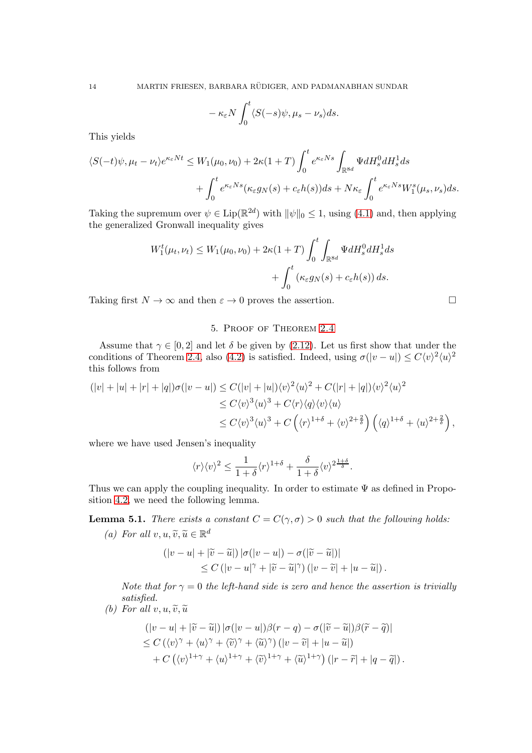$$
-\kappa_{\varepsilon}N\int_0^t \langle S(-s)\psi, \mu_s - \nu_s\rangle ds.
$$

This yields

$$
\langle S(-t)\psi, \mu_t - \nu_t \rangle e^{\kappa_{\varepsilon} N t} \le W_1(\mu_0, \nu_0) + 2\kappa (1+T) \int_0^t e^{\kappa_{\varepsilon} N s} \int_{\mathbb{R}^{8d}} \Psi dH_s^0 dH_s^1 ds + \int_0^t e^{\kappa_{\varepsilon} N s} (\kappa_{\varepsilon} g_N(s) + c_{\varepsilon} h(s)) ds + N \kappa_{\varepsilon} \int_0^t e^{\kappa_{\varepsilon} N s} W_1^s(\mu_s, \nu_s) ds.
$$

Taking the supremum over  $\psi \in \text{Lip}(\mathbb{R}^{2d})$  with  $\|\psi\|_0 \leq 1$ , using [\(4.1\)](#page-9-0) and, then applying the generalized Gronwall inequality gives

$$
W_1^t(\mu_t, \nu_t) \le W_1(\mu_0, \nu_0) + 2\kappa (1+T) \int_0^t \int_{\mathbb{R}^{8d}} \Psi dH_s^0 dH_s^1 ds
$$
  
+ 
$$
\int_0^t \left(\kappa_{\varepsilon} g_N(s) + c_{\varepsilon} h(s)\right) ds.
$$

Taking first  $N \to \infty$  and then  $\varepsilon \to 0$  proves the assertion.

## 5. Proof of Theorem [2.4](#page-5-3)

Assume that  $\gamma \in [0, 2]$  and let  $\delta$  be given by [\(2.12\)](#page-5-0). Let us first show that under the conditions of Theorem [2.4,](#page-5-3) also [\(4.2\)](#page-9-2) is satisfied. Indeed, using  $\sigma(|v-u|) \leq C\langle v \rangle^2 \langle u \rangle^2$ this follows from

$$
(|v|+|u|+|r|+|q|)\sigma(|v-u|) \leq C(|v|+|u|)\langle v\rangle^2\langle u\rangle^2 + C(|r|+|q|)\langle v\rangle^2\langle u\rangle^2
$$
  
\n
$$
\leq C\langle v\rangle^3\langle u\rangle^3 + C\langle r\rangle\langle q\rangle\langle v\rangle\langle u\rangle
$$
  
\n
$$
\leq C\langle v\rangle^3\langle u\rangle^3 + C\left(\langle r\rangle^{1+\delta} + \langle v\rangle^{2+\frac{2}{\delta}}\right)\left(\langle q\rangle^{1+\delta} + \langle u\rangle^{2+\frac{2}{\delta}}\right),
$$

where we have used Jensen's inequality

$$
\langle r \rangle \langle v \rangle^2 \leq \frac{1}{1+\delta} \langle r \rangle^{1+\delta} + \frac{\delta}{1+\delta} \langle v \rangle^{2\frac{1+\delta}{\delta}}.
$$

Thus we can apply the coupling inequality. In order to estimate  $\Psi$  as defined in Proposition [4.2,](#page-9-1) we need the following lemma.

<span id="page-13-0"></span>**Lemma 5.1.** *There exists a constant*  $C = C(\gamma, \sigma) > 0$  *such that the following holds:* (a) For all  $v, u, \tilde{v}, \tilde{u} \in \mathbb{R}^d$ 

$$
(|v - u| + |\widetilde{v} - \widetilde{u}|) |\sigma(|v - u|) - \sigma(|\widetilde{v} - \widetilde{u}|)|
$$
  
\$\leq C (|v - u|^{\gamma} + |\widetilde{v} - \widetilde{u}|^{\gamma}) (|v - \widetilde{v}| + |u - \widetilde{u}|)\$.

*Note that for*  $\gamma = 0$  *the left-hand side is zero and hence the assertion is trivially satisfied.*

*(b)* For all  $v, u, \tilde{v}, \tilde{u}$ 

$$
(|v - u| + |\widetilde{v} - \widetilde{u}|) |\sigma(|v - u|) \beta(r - q) - \sigma(|\widetilde{v} - \widetilde{u}|) \beta(\widetilde{r} - \widetilde{q})|
$$
  
\n
$$
\leq C (\langle v \rangle^{\gamma} + \langle u \rangle^{\gamma} + \langle \widetilde{v} \rangle^{\gamma} + \langle \widetilde{u} \rangle^{\gamma}) (|v - \widetilde{v}| + |u - \widetilde{u}|)
$$
  
\n
$$
+ C (\langle v \rangle^{1 + \gamma} + \langle u \rangle^{1 + \gamma} + \langle \widetilde{v} \rangle^{1 + \gamma} + \langle \widetilde{u} \rangle^{1 + \gamma}) (|r - \widetilde{r}| + |q - \widetilde{q}|).
$$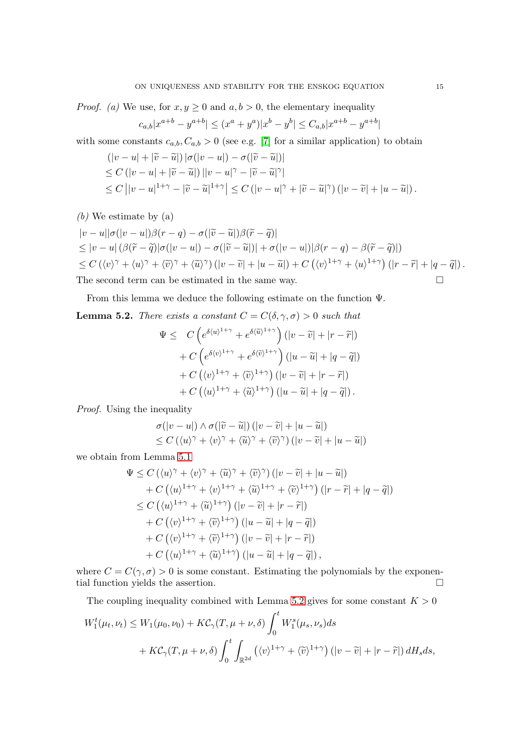*Proof.* (a) We use, for  $x, y \ge 0$  and  $a, b > 0$ , the elementary inequality

$$
c_{a,b}|x^{a+b}-y^{a+b}|\le (x^a+y^a)|x^b-y^b|\le C_{a,b}|x^{a+b}-y^{a+b}|
$$

with some constants  $c_{a,b}, C_{a,b} > 0$  (see e.g. [\[7\]](#page-19-16) for a similar application) to obtain

$$
\begin{aligned} &\left(|v-u|+|\widetilde{v}-\widetilde{u}|\right)|\sigma(|v-u|)-\sigma(|\widetilde{v}-\widetilde{u}|)|\\ &\leq C\left(|v-u|+|\widetilde{v}-\widetilde{u}|\right)||v-u|^\gamma-|\widetilde{v}-\widetilde{u}|^\gamma|\\ &\leq C\left||v-u|^{1+\gamma}-|\widetilde{v}-\widetilde{u}|^{1+\gamma}\right|\leq C\left(|v-u|^\gamma+|\widetilde{v}-\widetilde{u}|^\gamma\right)\left(|v-\widetilde{v}|+|u-\widetilde{u}|\right). \end{aligned}
$$

(b) We estimate by (a)  
\n
$$
|v - u||\sigma(|v - u|)\beta(r - q) - \sigma(|\tilde{v} - \tilde{u}|)\beta(\tilde{r} - \tilde{q})|
$$
\n
$$
\leq |v - u| (\beta(\tilde{r} - \tilde{q})|\sigma(|v - u|) - \sigma(|\tilde{v} - \tilde{u}|)| + \sigma(|v - u|)|\beta(r - q) - \beta(\tilde{r} - \tilde{q})|)
$$
\n
$$
\leq C (\langle v \rangle^{\gamma} + \langle u \rangle^{\gamma} + \langle \tilde{v} \rangle^{\gamma} + \langle \tilde{u} \rangle^{\gamma}) (|v - \tilde{v}| + |u - \tilde{u}|) + C (\langle v \rangle^{1 + \gamma} + \langle u \rangle^{1 + \gamma}) (|r - \tilde{r}| + |q - \tilde{q}|).
$$
\nThe second term can be estimated in the same map.

The second term can be estimated in the same way.  $\Box$ 

From this lemma we deduce the following estimate on the function Ψ.

<span id="page-14-0"></span>**Lemma 5.2.** *There exists a constant*  $C = C(\delta, \gamma, \sigma) > 0$  *such that* 

$$
\Psi \leq C \left( e^{\delta \langle u \rangle^{1+\gamma}} + e^{\delta \langle \widetilde{u} \rangle^{1+\gamma}} \right) (|v - \widetilde{v}| + |r - \widetilde{r}|) \n+ C \left( e^{\delta \langle v \rangle^{1+\gamma}} + e^{\delta \langle \widetilde{v} \rangle^{1+\gamma}} \right) (|u - \widetilde{u}| + |q - \widetilde{q}|) \n+ C \left( \langle v \rangle^{1+\gamma} + \langle \widetilde{v} \rangle^{1+\gamma} \right) (|v - \widetilde{v}| + |r - \widetilde{r}|) \n+ C \left( \langle u \rangle^{1+\gamma} + \langle \widetilde{u} \rangle^{1+\gamma} \right) (|u - \widetilde{u}| + |q - \widetilde{q}|).
$$

*Proof.* Using the inequality

$$
\sigma(|v - u|) \wedge \sigma(|\widetilde{v} - \widetilde{u}|) (|v - \widetilde{v}| + |u - \widetilde{u}|)
$$
  
\n
$$
\leq C (\langle u \rangle^{\gamma} + \langle v \rangle^{\gamma} + \langle \widetilde{u} \rangle^{\gamma} + \langle \widetilde{v} \rangle^{\gamma}) (|v - \widetilde{v}| + |u - \widetilde{u}|)
$$

we obtain from Lemma [5.1](#page-13-0)

$$
\Psi \leq C \left( \langle u \rangle^{\gamma} + \langle v \rangle^{\gamma} + \langle \widetilde{u} \rangle^{\gamma} + \langle \widetilde{v} \rangle^{\gamma} \right) \left( |v - \widetilde{v}| + |u - \widetilde{u}| \right) \n+ C \left( \langle u \rangle^{1+\gamma} + \langle v \rangle^{1+\gamma} + \langle \widetilde{u} \rangle^{1+\gamma} + \langle \widetilde{v} \rangle^{1+\gamma} \right) \left( |r - \widetilde{r}| + |q - \widetilde{q}| \right) \n\leq C \left( \langle u \rangle^{1+\gamma} + \langle \widetilde{u} \rangle^{1+\gamma} \right) \left( |v - \widetilde{v}| + |r - \widetilde{r}| \right) \n+ C \left( \langle v \rangle^{1+\gamma} + \langle \widetilde{v} \rangle^{1+\gamma} \right) \left( |u - \widetilde{u}| + |q - \widetilde{q}| \right) \n+ C \left( \langle v \rangle^{1+\gamma} + \langle \widetilde{v} \rangle^{1+\gamma} \right) \left( |v - \widetilde{v}| + |r - \widetilde{r}| \right) \n+ C \left( \langle u \rangle^{1+\gamma} + \langle \widetilde{u} \rangle^{1+\gamma} \right) \left( |u - \widetilde{u}| + |q - \widetilde{q}| \right),
$$

where  $C = C(\gamma, \sigma) > 0$  is some constant. Estimating the polynomials by the exponential function yields the assertion.

The coupling inequality combined with Lemma [5.2](#page-14-0) gives for some constant  $K > 0$ 

$$
W_1^t(\mu_t, \nu_t) \le W_1(\mu_0, \nu_0) + KC_\gamma(T, \mu + \nu, \delta) \int_0^t W_1^s(\mu_s, \nu_s) ds
$$
  
+ 
$$
KC_\gamma(T, \mu + \nu, \delta) \int_0^t \int_{\mathbb{R}^{2d}} \left( \langle v \rangle^{1+\gamma} + \langle \tilde{v} \rangle^{1+\gamma} \right) \left( |v - \tilde{v}| + |r - \tilde{r}| \right) dH_s ds,
$$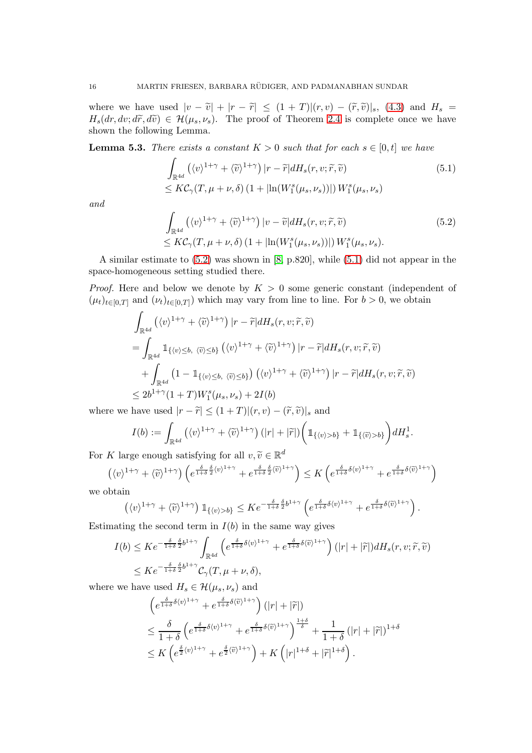where we have used  $|v - \tilde{v}| + |r - \tilde{r}| \leq (1 + T)| (r, v) - (\tilde{r}, \tilde{v})|_{s}$ , [\(4.3\)](#page-10-2) and  $H_s$  =  $H_s(dr, dv; d\tilde{r}, d\tilde{v}) \in \mathcal{H}(\mu_s, \nu_s)$ . The proof of Theorem [2.4](#page-5-3) is complete once we have shown the following Lemma.

**Lemma 5.3.** *There exists a constant*  $K > 0$  *such that for each*  $s \in [0, t]$  *we have* 

<span id="page-15-1"></span>
$$
\int_{\mathbb{R}^{4d}} \left( \langle v \rangle^{1+\gamma} + \langle \widetilde{v} \rangle^{1+\gamma} \right) |r - \widetilde{r}| dH_s(r, v; \widetilde{r}, \widetilde{v})
$$
\n
$$
\leq K\mathcal{C}_{\gamma}(T, \mu + \nu, \delta) \left( 1 + |\ln(W_1^s(\mu_s, \nu_s))| \right) W_1^s(\mu_s, \nu_s)
$$
\n(5.1)

*and*

<span id="page-15-0"></span>
$$
\int_{\mathbb{R}^{4d}} \left( \langle v \rangle^{1+\gamma} + \langle \tilde{v} \rangle^{1+\gamma} \right) |v - \tilde{v}| dH_s(r, v; \tilde{r}, \tilde{v})
$$
\n
$$
\leq K C_{\gamma}(T, \mu + \nu, \delta) \left( 1 + |\ln(W_1^s(\mu_s, \nu_s))| \right) W_1^s(\mu_s, \nu_s).
$$
\n(5.2)

A similar estimate to [\(5.2\)](#page-15-0) was shown in [\[8,](#page-19-9) p.820], while [\(5.1\)](#page-15-1) did not appear in the space-homogeneous setting studied there.

*Proof.* Here and below we denote by  $K > 0$  some generic constant (independent of  $(\mu_t)_{t\in[0,T]}$  and  $(\nu_t)_{t\in[0,T]}$  which may vary from line to line. For  $b>0$ , we obtain

$$
\int_{\mathbb{R}^{4d}} \left( \langle v \rangle^{1+\gamma} + \langle \tilde{v} \rangle^{1+\gamma} \right) |r - \tilde{r}| dH_s(r, v; \tilde{r}, \tilde{v})
$$
\n
$$
= \int_{\mathbb{R}^{4d}} \mathbb{1}_{\{\langle v \rangle \leq b, \langle \tilde{v} \rangle \leq b\}} \left( \langle v \rangle^{1+\gamma} + \langle \tilde{v} \rangle^{1+\gamma} \right) |r - \tilde{r}| dH_s(r, v; \tilde{r}, \tilde{v})
$$
\n
$$
+ \int_{\mathbb{R}^{4d}} \left( 1 - \mathbb{1}_{\{\langle v \rangle \leq b, \langle \tilde{v} \rangle \leq b\}} \right) \left( \langle v \rangle^{1+\gamma} + \langle \tilde{v} \rangle^{1+\gamma} \right) |r - \tilde{r}| dH_s(r, v; \tilde{r}, \tilde{v})
$$
\n
$$
\leq 2b^{1+\gamma} (1+T) W_1^s(\mu_s, \nu_s) + 2I(b)
$$

where we have used  $|r - \tilde{r}| \leq (1+T)| (r, v) - (\tilde{r}, \tilde{v})|_{s}$  and

$$
I(b) := \int_{\mathbb{R}^{4d}} \left( \langle v \rangle^{1+\gamma} + \langle \widetilde{v} \rangle^{1+\gamma} \right) \left( |r| + |\widetilde{r}| \right) \left( \mathbb{1}_{\{\langle v \rangle > b\}} + \mathbb{1}_{\{\langle \widetilde{v} \rangle > b\}} \right) dH_s^1.
$$

For K large enough satisfying for all  $v, \tilde{v} \in \mathbb{R}^d$ 

$$
\left(\langle v\rangle^{1+\gamma}+\langle \widetilde{v}\rangle^{1+\gamma}\right)\left(e^{\frac{\delta}{1+\delta}\frac{\delta}{2}\langle v\rangle^{1+\gamma}}+e^{\frac{\delta}{1+\delta}\frac{\delta}{2}\langle \widetilde{v}\rangle^{1+\gamma}}\right)\leq K\left(e^{\frac{\delta}{1+\delta}\delta\langle v\rangle^{1+\gamma}}+e^{\frac{\delta}{1+\delta}\delta\langle \widetilde{v}\rangle^{1+\gamma}}\right)
$$

we obtain

$$
\left(\langle v\rangle^{1+\gamma}+\langle \widetilde{v}\rangle^{1+\gamma}\right)1\!\!1_{\{\langle v\rangle>b\}}\leq K e^{-\frac{\delta}{1+\delta}\frac{\delta}{2}b^{1+\gamma}}\left(e^{\frac{\delta}{1+\delta}\delta\langle v\rangle^{1+\gamma}}+e^{\frac{\delta}{1+\delta}\delta\langle \widetilde{v}\rangle^{1+\gamma}}\right).
$$

Estimating the second term in  $I(b)$  in the same way gives

$$
I(b) \leq Ke^{-\frac{\delta}{1+\delta}\frac{\delta}{2}b^{1+\gamma}} \int_{\mathbb{R}^{4d}} \left( e^{\frac{\delta}{1+\delta}\delta\langle v\rangle^{1+\gamma}} + e^{\frac{\delta}{1+\delta}\delta\langle\tilde{v}\rangle^{1+\gamma}} \right) (|r| + |\tilde{r}|) dH_s(r, v; \tilde{r}, \tilde{v})
$$
  

$$
\leq Ke^{-\frac{\delta}{1+\delta}\frac{\delta}{2}b^{1+\gamma}} \mathcal{C}_{\gamma}(T, \mu+\nu, \delta),
$$

where we have used  $H_s \in \mathcal{H}(\mu_s, \nu_s)$  and

$$
\begin{split}\n&\left(e^{\frac{\delta}{1+\delta}\delta\langle v\rangle^{1+\gamma}}+e^{\frac{\delta}{1+\delta}\delta\langle\widetilde{v}\rangle^{1+\gamma}}\right)(|r|+|\widetilde{r}|) \\
&\leq \frac{\delta}{1+\delta}\left(e^{\frac{\delta}{1+\delta}\delta\langle v\rangle^{1+\gamma}}+e^{\frac{\delta}{1+\delta}\delta\langle\widetilde{v}\rangle^{1+\gamma}}\right)^{\frac{1+\delta}{\delta}}+\frac{1}{1+\delta}\left(|r|+|\widetilde{r}|\right)^{1+\delta} \\
&\leq K\left(e^{\frac{\delta}{2}\langle v\rangle^{1+\gamma}}+e^{\frac{\delta}{2}\langle\widetilde{v}\rangle^{1+\gamma}}\right)+K\left(|r|^{1+\delta}+|\widetilde{r}|^{1+\delta}\right).\n\end{split}
$$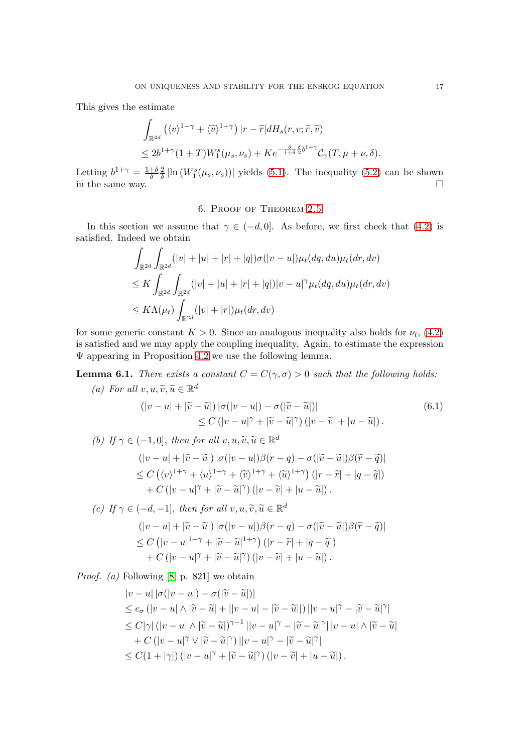This gives the estimate

$$
\begin{aligned} &\int_{\mathbb{R}^{4d}} \left(\langle v\rangle^{1+\gamma}+\langle \widetilde{v}\rangle^{1+\gamma}\right)|r-\widetilde{r}|dH_s(r,v;\widetilde{r},\widetilde{v})\\ &\leq 2b^{1+\gamma}(1+T)W_1^s(\mu_s,\nu_s)+Ke^{-\frac{\delta}{1+\delta}\frac{\delta}{2}b^{1+\gamma}}\mathcal{C}_\gamma(T,\mu+\nu,\delta). \end{aligned}
$$

Letting  $b^{1+\gamma} = \frac{1+\delta}{\delta}$ δ 2  $\frac{2}{\delta}$  |ln  $(W_1^s(\mu_s, \nu_s))$ | yields [\(5.1\)](#page-15-1). The inequality [\(5.2\)](#page-15-0) can be shown in the same way.  $\square$ 

#### 6. Proof of Theorem [2.5](#page-5-4)

In this section we assume that  $\gamma \in (-d, 0]$ . As before, we first check that [\(4.2\)](#page-9-2) is satisfied. Indeed we obtain

$$
\int_{\mathbb{R}^{2d}} \int_{\mathbb{R}^{2d}} (|v| + |u| + |r| + |q|) \sigma(|v - u|) \mu_t(dq, du) \mu_t(dr, dv)
$$
\n
$$
\leq K \int_{\mathbb{R}^{2d}} \int_{\mathbb{R}^{2d}} (|v| + |u| + |r| + |q|) |v - u|^\gamma \mu_t(dq, du) \mu_t(dr, dv)
$$
\n
$$
\leq K \Lambda(\mu_t) \int_{\mathbb{R}^{2d}} (|v| + |r|) \mu_t(dr, dv)
$$

for some generic constant  $K > 0$ . Since an analogous inequality also holds for  $\nu_t$ , [\(4.2\)](#page-9-2) is satisfied and we may apply the coupling inequality. Again, to estimate the expression  $\Psi$  appearing in Proposition [4.2](#page-9-1) we use the following lemma.

<span id="page-16-0"></span>**Lemma 6.1.** *There exists a constant*  $C = C(\gamma, \sigma) > 0$  *such that the following holds:* (a) For all  $v, u, \tilde{v}, \tilde{u} \in \mathbb{R}^d$ 

$$
(|v - u| + |\widetilde{v} - \widetilde{u}|) |\sigma(|v - u|) - \sigma(|\widetilde{v} - \widetilde{u}|)|
$$
  
\n
$$
\leq C (|v - u|^{\gamma} + |\widetilde{v} - \widetilde{u}|^{\gamma}) (|v - \widetilde{v}| + |u - \widetilde{u}|).
$$
\n(6.1)

(b) If 
$$
\gamma \in (-1, 0]
$$
, then for all  $v, u, \tilde{v}, \tilde{u} \in \mathbb{R}^d$   
\n
$$
(|v - u| + |\tilde{v} - \tilde{u}|) |\sigma(|v - u|) \beta(r - q) - \sigma(|\tilde{v} - \tilde{u}|) \beta(\tilde{r} - \tilde{q})|
$$
\n
$$
\leq C \left( \langle v \rangle^{1 + \gamma} + \langle u \rangle^{1 + \gamma} + \langle \tilde{v} \rangle^{1 + \gamma} + \langle \tilde{u} \rangle^{1 + \gamma} \right) (|r - \tilde{r}| + |q - \tilde{q}|)
$$
\n
$$
+ C \left( |v - u|^{\gamma} + |\tilde{v} - \tilde{u}|^{\gamma} \right) (|v - \tilde{v}| + |u - \tilde{u}|).
$$

$$
(c) If \gamma \in (-d, -1], then for all v, u, \tilde{v}, \tilde{u} \in \mathbb{R}^d
$$
  

$$
(|v - u| + |\tilde{v} - \tilde{u}|) |\sigma(|v - u|) \beta(r - q) - \sigma(|\tilde{v} - \tilde{u}|) \beta(\tilde{r} - \tilde{q})|
$$
  

$$
\leq C (|v - u|^{1+\gamma} + |\tilde{v} - \tilde{u}|^{1+\gamma}) (|r - \tilde{r}| + |q - \tilde{q}|)
$$
  
+  $C (|v - u|^{\gamma} + |\tilde{v} - \tilde{u}|^{\gamma}) (|v - \tilde{v}| + |u - \tilde{u}|).$ 

*Proof. (a)* Following [\[8,](#page-19-9) p. 821] we obtain

$$
|v - u| |\sigma(|v - u|) - \sigma(|\widetilde{v} - \widetilde{u}|)|
$$
  
\n
$$
\leq c_{\sigma} (|v - u| \wedge |\widetilde{v} - \widetilde{u}| + ||v - u| - |\widetilde{v} - \widetilde{u}||) ||v - u|^{\gamma} - |\widetilde{v} - \widetilde{u}|^{\gamma}|
$$
  
\n
$$
\leq C|\gamma| (|v - u| \wedge |\widetilde{v} - \widetilde{u}|)^{\gamma - 1} ||v - u|^{\gamma} - |\widetilde{v} - \widetilde{u}|^{\gamma} ||v - u| \wedge |\widetilde{v} - \widetilde{u}|
$$
  
\n
$$
+ C (|v - u|^{\gamma} \vee |\widetilde{v} - \widetilde{u}|^{\gamma}) ||v - u|^{\gamma} - |\widetilde{v} - \widetilde{u}|^{\gamma}|
$$
  
\n
$$
\leq C(1 + |\gamma|) (|v - u|^{\gamma} + |\widetilde{v} - \widetilde{u}|^{\gamma}) (|v - \widetilde{v}| + |u - \widetilde{u}|).
$$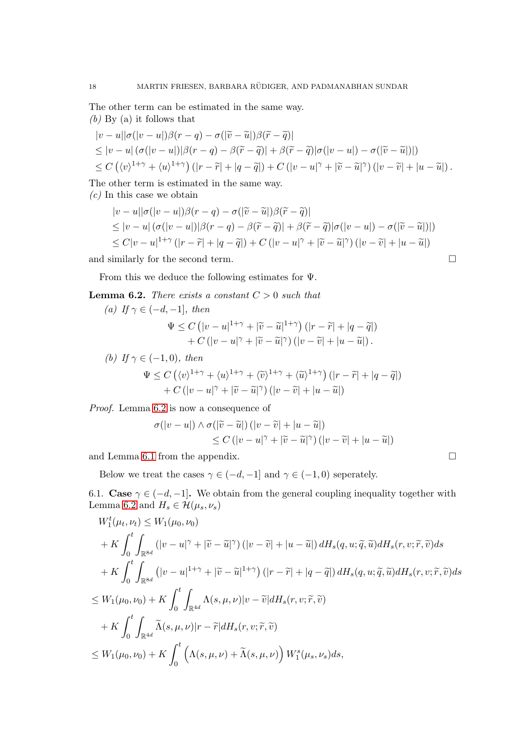The other term can be estimated in the same way.

*(b)* By (a) it follows that

$$
|v - u||\sigma(|v - u|)\beta(r - q) - \sigma(|\widetilde{v} - \widetilde{u}|)\beta(\widetilde{r} - \widetilde{q})|
$$
  
\n
$$
\leq |v - u| (\sigma(|v - u|)|\beta(r - q) - \beta(\widetilde{r} - \widetilde{q})| + \beta(\widetilde{r} - \widetilde{q})|\sigma(|v - u|) - \sigma(|\widetilde{v} - \widetilde{u}|)|)
$$
  
\n
$$
\leq C ((v)^{1+\gamma} + \langle u \rangle^{1+\gamma}) (|r - \widetilde{r}| + |q - \widetilde{q}|) + C (|v - u|^{\gamma} + |\widetilde{v} - \widetilde{u}|^{\gamma}) (|v - \widetilde{v}| + |u - \widetilde{u}|).
$$

The other term is estimated in the same way.

*(c)* In this case we obtain

$$
|v - u||\sigma(|v - u|)\beta(r - q) - \sigma(|\widetilde{v} - \widetilde{u}|)\beta(\widetilde{r} - \widetilde{q})|
$$
  
\n
$$
\leq |v - u| (\sigma(|v - u|)|\beta(r - q) - \beta(\widetilde{r} - \widetilde{q})| + \beta(\widetilde{r} - \widetilde{q})|\sigma(|v - u|) - \sigma(|\widetilde{v} - \widetilde{u}|)|)
$$
  
\n
$$
\leq C|v - u|^{1+\gamma} (|r - \widetilde{r}| + |q - \widetilde{q}|) + C (|v - u|^{\gamma} + |\widetilde{v} - \widetilde{u}|^{\gamma}) (|v - \widetilde{v}| + |u - \widetilde{u}|)
$$
  
\nand similarly for the second term.

From this we deduce the following estimates for Ψ.

<span id="page-17-0"></span>**Lemma 6.2.** *There exists a constant*  $C > 0$  *such that* 

(a) If 
$$
\gamma \in (-d, -1]
$$
, then  
\n
$$
\Psi \leq C \left( |v - u|^{1+\gamma} + |\widetilde{v} - \widetilde{u}|^{1+\gamma} \right) \left( |r - \widetilde{r}| + |q - \widetilde{q}| \right) + C \left( |v - u|^{\gamma} + |\widetilde{v} - \widetilde{u}|^{\gamma} \right) \left( |v - \widetilde{v}| + |u - \widetilde{u}| \right).
$$
\n(b) If  $\gamma \in (-1, 0)$ , then

$$
\Psi \leq C \left( \langle v \rangle^{1+\gamma} + \langle u \rangle^{1+\gamma} + \langle \widetilde{v} \rangle^{1+\gamma} + \langle \widetilde{u} \rangle^{1+\gamma} \right) \left( |r - \widetilde{r}| + |q - \widetilde{q}| \right) \n+ C \left( |v - u|^{\gamma} + |\widetilde{v} - \widetilde{u}|^{\gamma} \right) \left( |v - \widetilde{v}| + |u - \widetilde{u}| \right)
$$

*Proof.* Lemma [6.2](#page-17-0) is now a consequence of

$$
\sigma(|v-u|) \wedge \sigma(|\widetilde{v}-\widetilde{u}|) (|v-\widetilde{v}|+|u-\widetilde{u}|)
$$
  
\n
$$
\leq C (|v-u|^{\gamma}+|\widetilde{v}-\widetilde{u}|^{\gamma}) (|v-\widetilde{v}|+|u-\widetilde{u}|)
$$

and Lemma [6.1](#page-16-0) from the appendix.  $\Box$ 

Below we treat the cases  $\gamma \in (-d, -1]$  and  $\gamma \in (-1, 0)$  seperately.

6.1. Case  $\gamma \in (-d, -1]$ . We obtain from the general coupling inequality together with Lemma [6.2](#page-17-0) and  $H_s \in \mathcal{H}(\mu_s, \nu_s)$ 

$$
W_1^t(\mu_t, \nu_t) \le W_1(\mu_0, \nu_0)
$$
  
+ K  $\int_0^t \int_{\mathbb{R}^{8d}} (|v - u|^\gamma + |\widetilde{v} - \widetilde{u}|^\gamma) (|v - \widetilde{v}| + |u - \widetilde{u}|) dH_s(q, u; \widetilde{q}, \widetilde{u}) dH_s(r, v; \widetilde{r}, \widetilde{v}) ds$   
+ K  $\int_0^t \int_{\mathbb{R}^{8d}} (|v - u|^{1+\gamma} + |\widetilde{v} - \widetilde{u}|^{1+\gamma}) (|r - \widetilde{r}| + |q - \widetilde{q}|) dH_s(q, u; \widetilde{q}, \widetilde{u}) dH_s(r, v; \widetilde{r}, \widetilde{v}) ds$   

$$
\le W_1(\mu_0, \nu_0) + K \int_0^t \int_{\mathbb{R}^{4d}} \Lambda(s, \mu, \nu) |v - \widetilde{v}| dH_s(r, v; \widetilde{r}, \widetilde{v})
$$
  
+ K  $\int_0^t \int_{\mathbb{R}^{4d}} \widetilde{\Lambda}(s, \mu, \nu) |r - \widetilde{r}| dH_s(r, v; \widetilde{r}, \widetilde{v})$   

$$
\le W_1(\mu_0, \nu_0) + K \int_0^t \left( \Lambda(s, \mu, \nu) + \widetilde{\Lambda}(s, \mu, \nu) \right) W_1^s(\mu_s, \nu_s) ds,
$$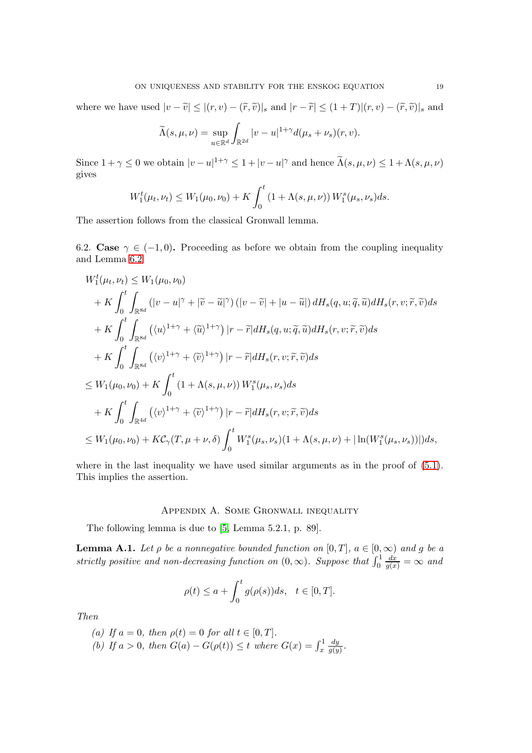where we have used  $|v - \tilde{v}| \le |(r, v) - (\tilde{r}, \tilde{v})|_{s}$  and  $|r - \tilde{r}| \le (1 + T)|(r, v) - (\tilde{r}, \tilde{v})|_{s}$  and

$$
\widetilde{\Lambda}(s,\mu,\nu) = \sup_{u \in \mathbb{R}^d} \int_{\mathbb{R}^{2d}} |v - u|^{1+\gamma} d(\mu_s + \nu_s)(r,v).
$$

Since  $1 + \gamma \leq 0$  we obtain  $|v - u|^{1+\gamma} \leq 1 + |v - u|^\gamma$  and hence  $\tilde{\Lambda}(s, \mu, \nu) \leq 1 + \Lambda(s, \mu, \nu)$ gives

$$
W_1^t(\mu_t, \nu_t) \le W_1(\mu_0, \nu_0) + K \int_0^t (1 + \Lambda(s, \mu, \nu)) W_1^s(\mu_s, \nu_s) ds.
$$

The assertion follows from the classical Gronwall lemma.

6.2. Case  $\gamma \in (-1,0)$ . Proceeding as before we obtain from the coupling inequality and Lemma [6.2](#page-17-0)

$$
W_1^t(\mu_t, \nu_t) \le W_1(\mu_0, \nu_0)
$$
  
+
$$
K \int_0^t \int_{\mathbb{R}^{8d}} (|v - u|^\gamma + |\widetilde{v} - \widetilde{u}|^\gamma) (|v - \widetilde{v}| + |u - \widetilde{u}|) dH_s(q, u; \widetilde{q}, \widetilde{u}) dH_s(r, v; \widetilde{r}, \widetilde{v}) ds
$$
  
+
$$
K \int_0^t \int_{\mathbb{R}^{8d}} (\langle u \rangle^{1+\gamma} + \langle \widetilde{u} \rangle^{1+\gamma}) |r - \widetilde{r}| dH_s(q, u; \widetilde{q}, \widetilde{u}) dH_s(r, v; \widetilde{r}, \widetilde{v}) ds
$$
  
+
$$
K \int_0^t \int_{\mathbb{R}^{8d}} (\langle v \rangle^{1+\gamma} + \langle \widetilde{v} \rangle^{1+\gamma}) |r - \widetilde{r}| dH_s(r, v; \widetilde{r}, \widetilde{v}) ds
$$
  

$$
\le W_1(\mu_0, \nu_0) + K \int_0^t (1 + \Lambda(s, \mu, \nu)) W_1^s(\mu_s, \nu_s) ds
$$
  
+
$$
K \int_0^t \int_{\mathbb{R}^{4d}} (\langle v \rangle^{1+\gamma} + \langle \widetilde{v} \rangle^{1+\gamma}) |r - \widetilde{r}| dH_s(r, v; \widetilde{r}, \widetilde{v}) ds
$$
  

$$
\le W_1(\mu_0, \nu_0) + K \mathcal{C}_{\gamma}(T, \mu + \nu, \delta) \int_0^t W_1^s(\mu_s, \nu_s) (1 + \Lambda(s, \mu, \nu) + |\ln(W_1^s(\mu_s, \nu_s)|)|) ds,
$$

where in the last inequality we have used similar arguments as in the proof of  $(5.1)$ . This implies the assertion.

### Appendix A. Some Gronwall inequality

The following lemma is due to [\[5,](#page-19-11) Lemma 5.2.1, p. 89].

**Lemma A.1.** Let  $\rho$  be a nonnegative bounded function on  $[0, T]$ ,  $a \in [0, \infty)$  and g be a *strictly positive and non-decreasing function on*  $(0, \infty)$ *. Suppose that*  $\int_0^1$  $\frac{dx}{g(x)} = \infty$  and

$$
\rho(t) \le a + \int_0^t g(\rho(s))ds, \quad t \in [0, T].
$$

*Then*

*(a)* If  $a = 0$ *, then*  $\rho(t) = 0$  *for all*  $t \in [0, T]$ *. (b)* If  $a > 0$ , then  $G(a) - G(\rho(t)) \le t$  where  $G(x) = \int_x^1$ dy  $\frac{dy}{g(y)}$ .